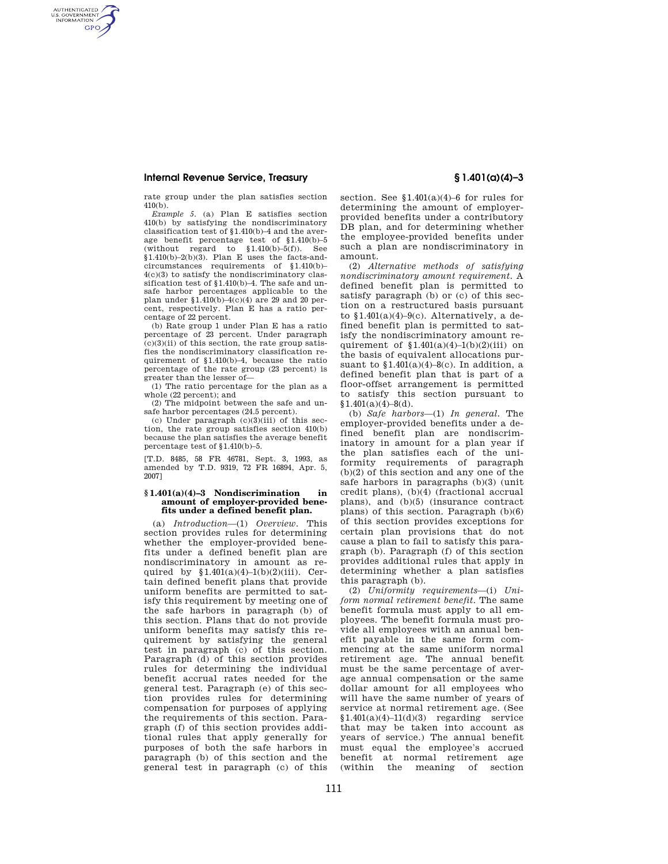AUTHENTICATED<br>U.S. GOVERNMENT<br>INFORMATION **GPO** 

rate group under the plan satisfies section  $410(b)$ .

*Example 5.* (a) Plan E satisfies section 410(b) by satisfying the nondiscriminatory classification test of §1.410(b)–4 and the average benefit percentage test of §1.410(b)–5  $(without$  regard to  $$1.410(b)-5(f)$ . See  $$1.410(b)-2(b)(3)$ . Plan E uses the facts-andcircumstances requirements of §1.410(b)– 4(c)(3) to satisfy the nondiscriminatory classification test of §1.410(b)–4. The safe and unsafe harbor percentages applicable to the plan under  $\frac{1.410(b)-4(c)}{4(c)}$  are 29 and 20 percent, respectively. Plan E has a ratio percentage of 22 percent.

(b) Rate group 1 under Plan E has a ratio percentage of 23 percent. Under paragraph  $(c)(3)(ii)$  of this section, the rate group satisfies the nondiscriminatory classification requirement of §1.410(b)–4, because the ratio percentage of the rate group (23 percent) is greater than the lesser of—

(1) The ratio percentage for the plan as a whole (22 percent); and

(2) The midpoint between the safe and unsafe harbor percentages (24.5 percent).

(c) Under paragraph  $(c)(3)(iii)$  of this section, the rate group satisfies section 410(b) because the plan satisfies the average benefit percentage test of §1.410(b)–5.

[T.D. 8485, 58 FR 46781, Sept. 3, 1993, as amended by T.D. 9319, 72 FR 16894, Apr. 5, 2007]

### **§ 1.401(a)(4)–3 Nondiscrimination in amount of employer-provided benefits under a defined benefit plan.**

(a) *Introduction*—(1) *Overview.* This section provides rules for determining whether the employer-provided benefits under a defined benefit plan are nondiscriminatory in amount as required by  $$1.401(a)(4)-1(b)(2)(iii)$ . Certain defined benefit plans that provide uniform benefits are permitted to satisfy this requirement by meeting one of the safe harbors in paragraph (b) of this section. Plans that do not provide uniform benefits may satisfy this requirement by satisfying the general test in paragraph (c) of this section. Paragraph (d) of this section provides rules for determining the individual benefit accrual rates needed for the general test. Paragraph (e) of this section provides rules for determining compensation for purposes of applying the requirements of this section. Paragraph (f) of this section provides additional rules that apply generally for purposes of both the safe harbors in paragraph (b) of this section and the general test in paragraph (c) of this

section. See §1.401(a)(4)–6 for rules for determining the amount of employerprovided benefits under a contributory DB plan, and for determining whether the employee-provided benefits under such a plan are nondiscriminatory in amount.

(2) *Alternative methods of satisfying nondiscriminatory amount requirement.* A defined benefit plan is permitted to satisfy paragraph (b) or (c) of this section on a restructured basis pursuant to  $$1.401(a)(4)-9(c)$ . Alternatively, a defined benefit plan is permitted to satisfy the nondiscriminatory amount requirement of  $$1.401(a)(4)-1(b)(2)(iii)$  on the basis of equivalent allocations pursuant to  $$1.401(a)(4)-8(c)$ . In addition, a defined benefit plan that is part of a floor-offset arrangement is permitted to satisfy this section pursuant to  $$1.401(a)(4)-8(d).$ 

(b) *Safe harbors*—(1) *In general.* The employer-provided benefits under a defined benefit plan are nondiscriminatory in amount for a plan year if the plan satisfies each of the uniformity requirements of paragraph (b)(2) of this section and any one of the safe harbors in paragraphs (b)(3) (unit credit plans), (b)(4) (fractional accrual plans), and (b)(5) (insurance contract plans) of this section. Paragraph (b)(6) of this section provides exceptions for certain plan provisions that do not cause a plan to fail to satisfy this paragraph (b). Paragraph (f) of this section provides additional rules that apply in determining whether a plan satisfies this paragraph (b).

(2) *Uniformity requirements*—(i) *Uniform normal retirement benefit.* The same benefit formula must apply to all employees. The benefit formula must provide all employees with an annual benefit payable in the same form commencing at the same uniform normal retirement age. The annual benefit must be the same percentage of average annual compensation or the same dollar amount for all employees who will have the same number of years of service at normal retirement age. (See  $$1.401(a)(4)-11(d)(3)$  regarding service that may be taken into account as years of service.) The annual benefit must equal the employee's accrued benefit at normal retirement age (within the meaning of section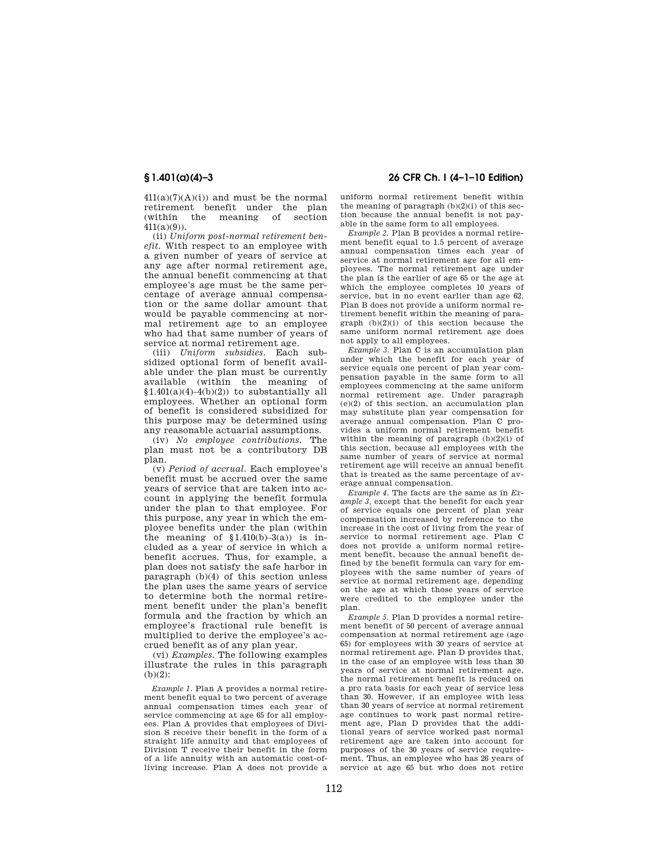$411(a)(7)(A)(i)$  and must be the normal retirement benefit under the plan (within the meaning of section 411(a)(9)).

(ii) *Uniform post-normal retirement benefit.* With respect to an employee with a given number of years of service at any age after normal retirement age, the annual benefit commencing at that employee's age must be the same percentage of average annual compensation or the same dollar amount that would be payable commencing at normal retirement age to an employee who had that same number of years of service at normal retirement age.

(iii) *Uniform subsidies.* Each subsidized optional form of benefit available under the plan must be currently available (within the meaning of  $$1.401(a)(4)-4(b)(2)$ to substantially all$ employees. Whether an optional form of benefit is considered subsidized for this purpose may be determined using any reasonable actuarial assumptions.

(iv) *No employee contributions.* The plan must not be a contributory DB plan.

(v) *Period of accrual.* Each employee's benefit must be accrued over the same years of service that are taken into account in applying the benefit formula under the plan to that employee. For this purpose, any year in which the employee benefits under the plan (within the meaning of  $$1.410(b)-3(a)$  is included as a year of service in which a benefit accrues. Thus, for example, a plan does not satisfy the safe harbor in paragraph (b)(4) of this section unless the plan uses the same years of service to determine both the normal retirement benefit under the plan's benefit formula and the fraction by which an employee's fractional rule benefit is multiplied to derive the employee's accrued benefit as of any plan year.

(vi) *Examples.* The following examples illustrate the rules in this paragraph (b)(2):

*Example 1.* Plan A provides a normal retirement benefit equal to two percent of average annual compensation times each year of service commencing at age 65 for all employees. Plan A provides that employees of Division S receive their benefit in the form of a straight life annuity and that employees of Division T receive their benefit in the form of a life annuity with an automatic cost-ofliving increase. Plan A does not provide a

# **§ 1.401(a)(4)–3 26 CFR Ch. I (4–1–10 Edition)**

uniform normal retirement benefit within the meaning of paragraph  $(b)(2)(i)$  of this section because the annual benefit is not payable in the same form to all employees.

*Example 2.* Plan B provides a normal retirement benefit equal to 1.5 percent of average annual compensation times each year of service at normal retirement age for all employees. The normal retirement age under the plan is the earlier of age 65 or the age at which the employee completes 10 years of service, but in no event earlier than age 62. Plan B does not provide a uniform normal retirement benefit within the meaning of paragraph  $(b)(2)(i)$  of this section because the same uniform normal retirement age does not apply to all employees.

*Example 3.* Plan C is an accumulation plan under which the benefit for each year of service equals one percent of plan year compensation payable in the same form to all employees commencing at the same uniform normal retirement age. Under paragraph (e)(2) of this section, an accumulation plan may substitute plan year compensation for average annual compensation. Plan C provides a uniform normal retirement benefit within the meaning of paragraph (b)(2)(i) of this section, because all employees with the same number of years of service at normal retirement age will receive an annual benefit that is treated as the same percentage of average annual compensation.

*Example 4.* The facts are the same as in *Example 3,* except that the benefit for each year of service equals one percent of plan year compensation increased by reference to the increase in the cost of living from the year of service to normal retirement age. Plan C does not provide a uniform normal retirement benefit, because the annual benefit defined by the benefit formula can vary for employees with the same number of years of service at normal retirement age, depending on the age at which those years of service were credited to the employee under the plan.

*Example 5.* Plan D provides a normal retirement benefit of 50 percent of average annual compensation at normal retirement age (age 65) for employees with 30 years of service at normal retirement age. Plan D provides that, in the case of an employee with less than 30 years of service at normal retirement age, the normal retirement benefit is reduced on a pro rata basis for each year of service less than 30. However, if an employee with less than 30 years of service at normal retirement age continues to work past normal retirement age, Plan D provides that the additional years of service worked past normal retirement age are taken into account for purposes of the 30 years of service requirement. Thus, an employee who has 26 years of service at age 65 but who does not retire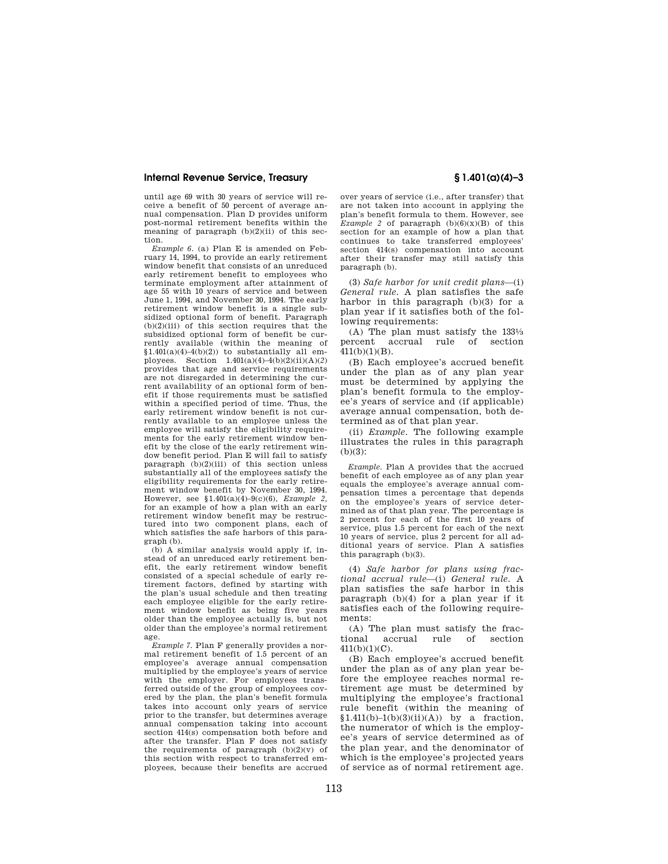until age 69 with 30 years of service will receive a benefit of 50 percent of average annual compensation. Plan D provides uniform post-normal retirement benefits within the meaning of paragraph (b)(2)(ii) of this section.

*Example 6.* (a) Plan E is amended on February 14, 1994, to provide an early retirement window benefit that consists of an unreduced early retirement benefit to employees who terminate employment after attainment of age 55 with 10 years of service and between June 1, 1994, and November 30, 1994. The early retirement window benefit is a single subsidized optional form of benefit. Paragraph  $(b)(2)(iii)$  of this section requires that the subsidized optional form of benefit be currently available (within the meaning of  $$1.401(a)(4)-4(b)(2)$$  to substantially all employees. Section  $1.401(a)(4) - 4(b)(2)(ii)(A)(2)$ provides that age and service requirements are not disregarded in determining the current availability of an optional form of benefit if those requirements must be satisfied within a specified period of time. Thus, the early retirement window benefit is not currently available to an employee unless the employee will satisfy the eligibility requirements for the early retirement window benefit by the close of the early retirement window benefit period. Plan E will fail to satisfy paragraph  $(b)(2)(iii)$  of this section unless substantially all of the employees satisfy the eligibility requirements for the early retirement window benefit by November 30, 1994. However, see §1.401(a)(4)–9(c)(6), *Example 2,*  for an example of how a plan with an early retirement window benefit may be restructured into two component plans, each of which satisfies the safe harbors of this paragraph (b).

(b) A similar analysis would apply if, instead of an unreduced early retirement benefit, the early retirement window benefit consisted of a special schedule of early retirement factors, defined by starting with the plan's usual schedule and then treating each employee eligible for the early retirement window benefit as being five years older than the employee actually is, but not older than the employee's normal retirement age.

*Example 7.* Plan F generally provides a normal retirement benefit of 1.5 percent of an employee's average annual compensation multiplied by the employee's years of service with the employer. For employees transferred outside of the group of employees covered by the plan, the plan's benefit formula takes into account only years of service prior to the transfer, but determines average annual compensation taking into account section 414(s) compensation both before and after the transfer. Plan F does not satisfy the requirements of paragraph  $(b)(2)(v)$  of this section with respect to transferred employees, because their benefits are accrued

over years of service (i.e., after transfer) that are not taken into account in applying the plan's benefit formula to them. However, see *Example 2* of paragraph  $(b)(6)(x)(B)$  of this section for an example of how a plan that continues to take transferred employees' section 414(s) compensation into account after their transfer may still satisfy this paragraph (b).

(3) *Safe harbor for unit credit plans*—(i) *General rule.* A plan satisfies the safe harbor in this paragraph (b)(3) for a plan year if it satisfies both of the following requirements:

(A) The plan must satisfy the 1331⁄3 percent accrual rule of section 411(b)(1)(B).

(B) Each employee's accrued benefit under the plan as of any plan year must be determined by applying the plan's benefit formula to the employee's years of service and (if applicable) average annual compensation, both determined as of that plan year.

(ii) *Example.* The following example illustrates the rules in this paragraph  $(b)(3)$ :

*Example.* Plan A provides that the accrued benefit of each employee as of any plan year equals the employee's average annual compensation times a percentage that depends on the employee's years of service determined as of that plan year. The percentage is 2 percent for each of the first 10 years of service, plus 1.5 percent for each of the next 10 years of service, plus 2 percent for all additional years of service. Plan A satisfies this paragraph (b)(3).

(4) *Safe harbor for plans using fractional accrual rule*—(i) *General rule.* A plan satisfies the safe harbor in this paragraph (b)(4) for a plan year if it satisfies each of the following requirements:

(A) The plan must satisfy the fractional accrual rule of section 411(b)(1)(C).

(B) Each employee's accrued benefit under the plan as of any plan year before the employee reaches normal retirement age must be determined by multiplying the employee's fractional rule benefit (within the meaning of  $$1.411(b)-1(b)(3)(ii)(A))$  by a fraction. the numerator of which is the employee's years of service determined as of the plan year, and the denominator of which is the employee's projected years of service as of normal retirement age.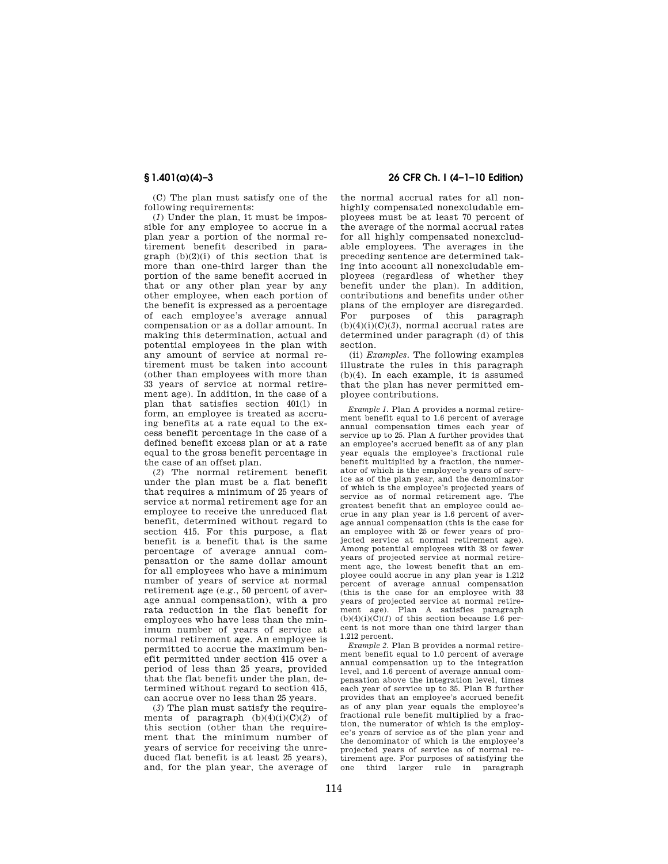(C) The plan must satisfy one of the following requirements:

(*1*) Under the plan, it must be impossible for any employee to accrue in a plan year a portion of the normal retirement benefit described in paragraph  $(b)(2)(i)$  of this section that is more than one-third larger than the portion of the same benefit accrued in that or any other plan year by any other employee, when each portion of the benefit is expressed as a percentage of each employee's average annual compensation or as a dollar amount. In making this determination, actual and potential employees in the plan with any amount of service at normal retirement must be taken into account (other than employees with more than 33 years of service at normal retirement age). In addition, in the case of a plan that satisfies section 401(l) in form, an employee is treated as accruing benefits at a rate equal to the excess benefit percentage in the case of a defined benefit excess plan or at a rate equal to the gross benefit percentage in the case of an offset plan.

(*2*) The normal retirement benefit under the plan must be a flat benefit that requires a minimum of 25 years of service at normal retirement age for an employee to receive the unreduced flat benefit, determined without regard to section 415. For this purpose, a flat benefit is a benefit that is the same percentage of average annual compensation or the same dollar amount for all employees who have a minimum number of years of service at normal retirement age (e.g., 50 percent of average annual compensation), with a pro rata reduction in the flat benefit for employees who have less than the minimum number of years of service at normal retirement age. An employee is permitted to accrue the maximum benefit permitted under section 415 over a period of less than 25 years, provided that the flat benefit under the plan, determined without regard to section 415, can accrue over no less than 25 years.

(*3*) The plan must satisfy the requirements of paragraph (b)(4)(i)(C)(*2*) of this section (other than the requirement that the minimum number of years of service for receiving the unreduced flat benefit is at least 25 years), and, for the plan year, the average of

## **§ 1.401(a)(4)–3 26 CFR Ch. I (4–1–10 Edition)**

the normal accrual rates for all nonhighly compensated nonexcludable employees must be at least 70 percent of the average of the normal accrual rates for all highly compensated nonexcludable employees. The averages in the preceding sentence are determined taking into account all nonexcludable employees (regardless of whether they benefit under the plan). In addition, contributions and benefits under other plans of the employer are disregarded. For purposes of this paragraph  $(b)(4)(i)(C)(3)$ , normal accrual rates are determined under paragraph (d) of this section.

(ii) *Examples.* The following examples illustrate the rules in this paragraph (b)(4). In each example, it is assumed that the plan has never permitted employee contributions.

*Example 1.* Plan A provides a normal retirement benefit equal to 1.6 percent of average annual compensation times each year of service up to 25. Plan A further provides that an employee's accrued benefit as of any plan year equals the employee's fractional rule benefit multiplied by a fraction, the numerator of which is the employee's years of service as of the plan year, and the denominator of which is the employee's projected years of service as of normal retirement age. The greatest benefit that an employee could accrue in any plan year is 1.6 percent of average annual compensation (this is the case for an employee with 25 or fewer years of projected service at normal retirement age). Among potential employees with 33 or fewer years of projected service at normal retirement age, the lowest benefit that an employee could accrue in any plan year is 1.212 percent of average annual compensation (this is the case for an employee with 33 years of projected service at normal retirement age). Plan A satisfies paragraph  $(b)(4)(i)(C)(1)$  of this section because 1.6 percent is not more than one third larger than 1.212 percent.

*Example 2.* Plan B provides a normal retirement benefit equal to 1.0 percent of average annual compensation up to the integration level, and 1.6 percent of average annual compensation above the integration level, times each year of service up to 35. Plan B further provides that an employee's accrued benefit as of any plan year equals the employee's fractional rule benefit multiplied by a fraction, the numerator of which is the employee's years of service as of the plan year and the denominator of which is the employee's projected years of service as of normal retirement age. For purposes of satisfying the one third larger rule in paragraph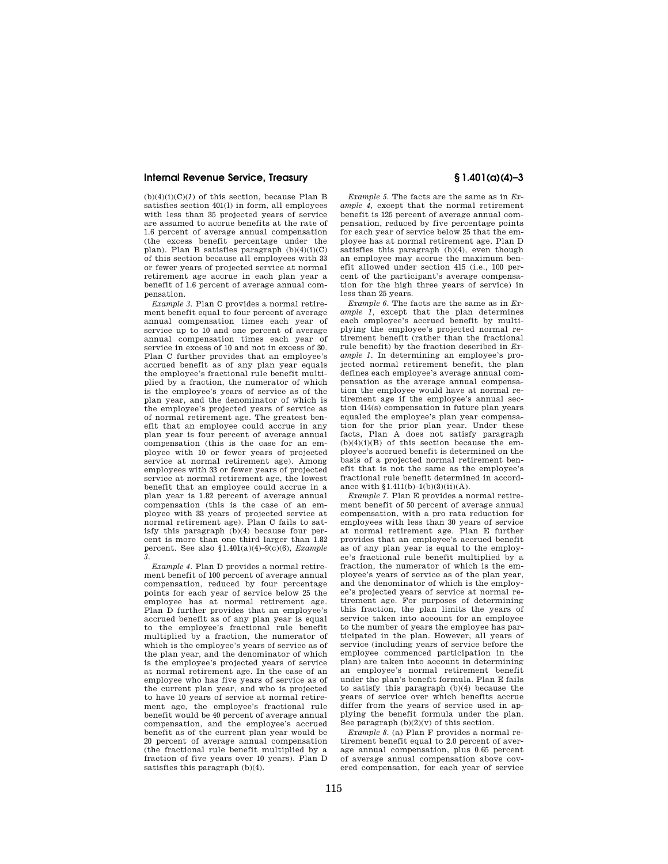$(b)(4)(i)(C)(1)$  of this section, because Plan B satisfies section 401(l) in form, all employees with less than 35 projected years of service are assumed to accrue benefits at the rate of 1.6 percent of average annual compensation (the excess benefit percentage under the plan). Plan B satisfies paragraph (b)(4)(i)(C) of this section because all employees with 33 or fewer years of projected service at normal retirement age accrue in each plan year a benefit of 1.6 percent of average annual compensation.

*Example 3.* Plan C provides a normal retirement benefit equal to four percent of average annual compensation times each year of service up to 10 and one percent of average annual compensation times each year of service in excess of 10 and not in excess of 30. Plan C further provides that an employee's accrued benefit as of any plan year equals the employee's fractional rule benefit multiplied by a fraction, the numerator of which is the employee's years of service as of the plan year, and the denominator of which is the employee's projected years of service as of normal retirement age. The greatest benefit that an employee could accrue in any plan year is four percent of average annual compensation (this is the case for an employee with 10 or fewer years of projected service at normal retirement age). Among employees with 33 or fewer years of projected service at normal retirement age, the lowest benefit that an employee could accrue in a plan year is 1.82 percent of average annual compensation (this is the case of an employee with 33 years of projected service at normal retirement age). Plan C fails to satisfy this paragraph (b)(4) because four percent is more than one third larger than 1.82 percent. See also §1.401(a)(4)–9(c)(6), *Example 3*.

*Example 4.* Plan D provides a normal retirement benefit of 100 percent of average annual compensation, reduced by four percentage points for each year of service below 25 the employee has at normal retirement age. Plan D further provides that an employee's accrued benefit as of any plan year is equal to the employee's fractional rule benefit multiplied by a fraction, the numerator of which is the employee's years of service as of the plan year, and the denominator of which is the employee's projected years of service at normal retirement age. In the case of an employee who has five years of service as of the current plan year, and who is projected to have 10 years of service at normal retirement age, the employee's fractional rule benefit would be 40 percent of average annual compensation, and the employee's accrued benefit as of the current plan year would be 20 percent of average annual compensation (the fractional rule benefit multiplied by a fraction of five years over 10 years). Plan D satisfies this paragraph (b)(4).

*Example 5.* The facts are the same as in *Example 4,* except that the normal retirement benefit is 125 percent of average annual compensation, reduced by five percentage points for each year of service below 25 that the employee has at normal retirement age. Plan D satisfies this paragraph (b)(4), even though an employee may accrue the maximum benefit allowed under section 415 (i.e., 100 percent of the participant's average compensation for the high three years of service) in less than 25 years.

*Example 6.* The facts are the same as in *Example 1,* except that the plan determines each employee's accrued benefit by multiplying the employee's projected normal retirement benefit (rather than the fractional rule benefit) by the fraction described in *Example 1.* In determining an employee's projected normal retirement benefit, the plan defines each employee's average annual compensation as the average annual compensation the employee would have at normal retirement age if the employee's annual section 414(s) compensation in future plan years equaled the employee's plan year compensation for the prior plan year. Under these facts, Plan A does not satisfy paragraph  $(b)(4)(i)(B)$  of this section because the employee's accrued benefit is determined on the basis of a projected normal retirement benefit that is not the same as the employee's fractional rule benefit determined in accordance with  $1.411(b)-1(b)(3)(ii)(A)$ .

*Example 7.* Plan E provides a normal retirement benefit of 50 percent of average annual compensation, with a pro rata reduction for employees with less than 30 years of service at normal retirement age. Plan E further provides that an employee's accrued benefit as of any plan year is equal to the employee's fractional rule benefit multiplied by a fraction, the numerator of which is the employee's years of service as of the plan year, and the denominator of which is the employee's projected years of service at normal retirement age. For purposes of determining this fraction, the plan limits the years of service taken into account for an employee to the number of years the employee has participated in the plan. However, all years of service (including years of service before the employee commenced participation in the plan) are taken into account in determining an employee's normal retirement benefit under the plan's benefit formula. Plan E fails to satisfy this paragraph (b)(4) because the years of service over which benefits accrue differ from the years of service used in applying the benefit formula under the plan. See paragraph  $(b)(2)(v)$  of this section.

*Example 8.* (a) Plan F provides a normal retirement benefit equal to 2.0 percent of average annual compensation, plus 0.65 percent of average annual compensation above covered compensation, for each year of service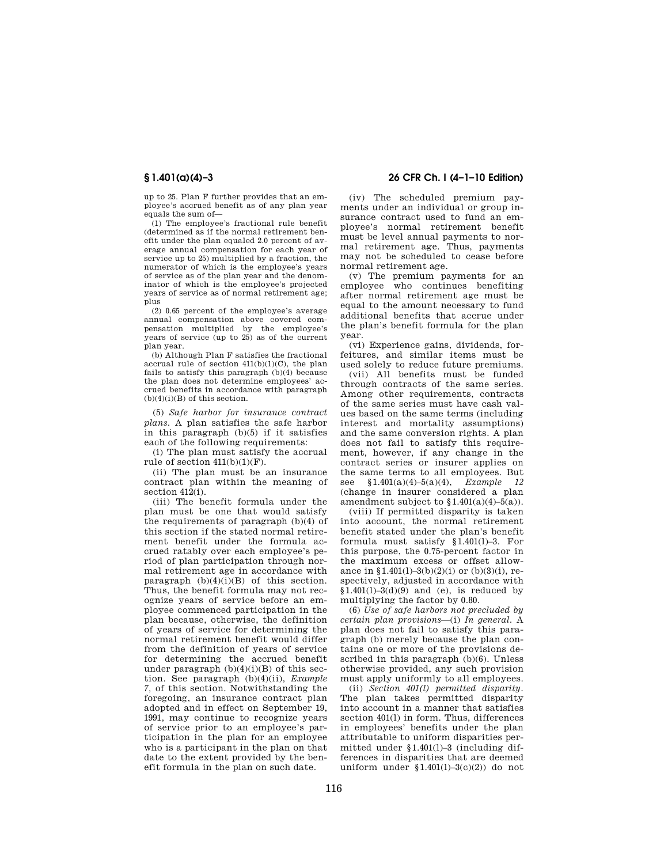up to 25. Plan F further provides that an employee's accrued benefit as of any plan year equals the sum of—

(1) The employee's fractional rule benefit (determined as if the normal retirement benefit under the plan equaled 2.0 percent of average annual compensation for each year of service up to 25) multiplied by a fraction, the numerator of which is the employee's years of service as of the plan year and the denominator of which is the employee's projected years of service as of normal retirement age; plus

(2) 0.65 percent of the employee's average annual compensation above covered compensation multiplied by the employee's years of service (up to 25) as of the current plan year.

(b) Although Plan F satisfies the fractional accrual rule of section  $411(b)(1)(C)$ , the plan fails to satisfy this paragraph (b)(4) because the plan does not determine employees' accrued benefits in accordance with paragraph  $(b)(4)(i)(B)$  of this section.

(5) *Safe harbor for insurance contract plans.* A plan satisfies the safe harbor in this paragraph (b)(5) if it satisfies each of the following requirements:

(i) The plan must satisfy the accrual rule of section  $411(b)(1)(F)$ .

(ii) The plan must be an insurance contract plan within the meaning of section 412(i).

(iii) The benefit formula under the plan must be one that would satisfy the requirements of paragraph (b)(4) of this section if the stated normal retirement benefit under the formula accrued ratably over each employee's period of plan participation through normal retirement age in accordance with paragraph  $(b)(4)(i)(B)$  of this section. Thus, the benefit formula may not recognize years of service before an employee commenced participation in the plan because, otherwise, the definition of years of service for determining the normal retirement benefit would differ from the definition of years of service for determining the accrued benefit under paragraph  $(b)(4)(i)(B)$  of this section. See paragraph (b)(4)(ii), *Example 7,* of this section. Notwithstanding the foregoing, an insurance contract plan adopted and in effect on September 19, 1991, may continue to recognize years of service prior to an employee's participation in the plan for an employee who is a participant in the plan on that date to the extent provided by the benefit formula in the plan on such date.

## **§ 1.401(a)(4)–3 26 CFR Ch. I (4–1–10 Edition)**

(iv) The scheduled premium payments under an individual or group insurance contract used to fund an employee's normal retirement benefit must be level annual payments to normal retirement age. Thus, payments may not be scheduled to cease before normal retirement age.

(v) The premium payments for an employee who continues benefiting after normal retirement age must be equal to the amount necessary to fund additional benefits that accrue under the plan's benefit formula for the plan year.

(vi) Experience gains, dividends, forfeitures, and similar items must be used solely to reduce future premiums.

(vii) All benefits must be funded through contracts of the same series. Among other requirements, contracts of the same series must have cash values based on the same terms (including interest and mortality assumptions) and the same conversion rights. A plan does not fail to satisfy this requirement, however, if any change in the contract series or insurer applies on the same terms to all employees. But see §1.401(a)(4)–5(a)(4), *Example 12*  (change in insurer considered a plan amendment subject to  $$1.401(a)(4)-5(a))$ .

(viii) If permitted disparity is taken into account, the normal retirement benefit stated under the plan's benefit formula must satisfy §1.401(l)–3. For this purpose, the 0.75-percent factor in the maximum excess or offset allowance in §1.401(1)–3(b)(2)(i) or (b)(3)(i), respectively, adjusted in accordance with  $$1.401(1)-3(d)(9)$  and (e), is reduced by multiplying the factor by 0.80.

(6) *Use of safe harbors not precluded by certain plan provisions*—(i) *In general.* A plan does not fail to satisfy this paragraph (b) merely because the plan contains one or more of the provisions described in this paragraph (b)(6). Unless otherwise provided, any such provision must apply uniformly to all employees.

(ii) *Section 401(l) permitted disparity.*  The plan takes permitted disparity into account in a manner that satisfies section 401(1) in form. Thus, differences in employees' benefits under the plan attributable to uniform disparities permitted under §1.401(l)–3 (including differences in disparities that are deemed uniform under  $$1.401(1)-3(c)(2)$$  do not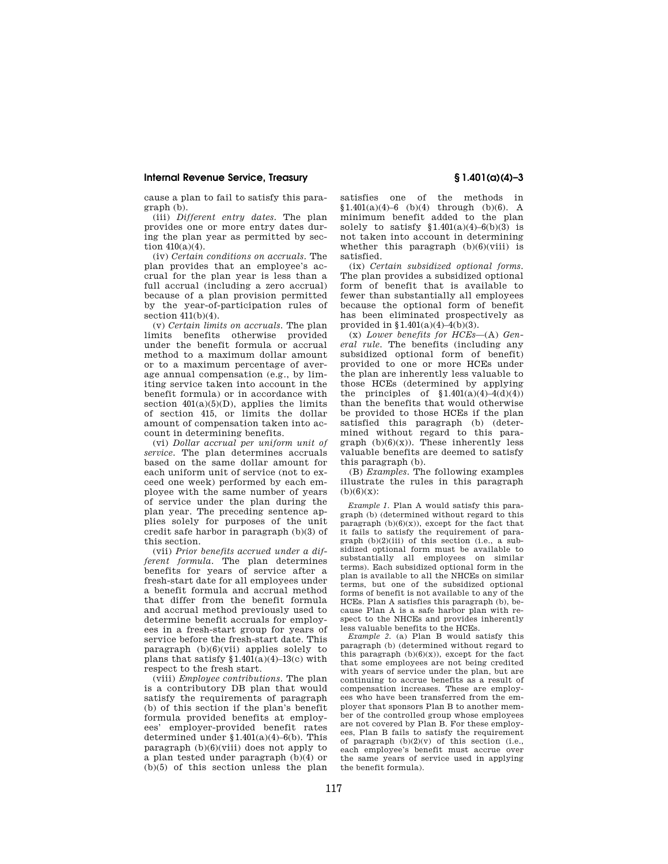cause a plan to fail to satisfy this paragraph (b).

(iii) *Different entry dates.* The plan provides one or more entry dates during the plan year as permitted by section 410(a)(4).

(iv) *Certain conditions on accruals.* The plan provides that an employee's accrual for the plan year is less than a full accrual (including a zero accrual) because of a plan provision permitted by the year-of-participation rules of section  $411(b)(4)$ .

(v) *Certain limits on accruals.* The plan limits benefits otherwise provided under the benefit formula or accrual method to a maximum dollar amount or to a maximum percentage of average annual compensation (e.g., by limiting service taken into account in the benefit formula) or in accordance with section  $401(a)(5)(D)$ , applies the limits of section 415, or limits the dollar amount of compensation taken into account in determining benefits.

(vi) *Dollar accrual per uniform unit of service.* The plan determines accruals based on the same dollar amount for each uniform unit of service (not to exceed one week) performed by each employee with the same number of years of service under the plan during the plan year. The preceding sentence applies solely for purposes of the unit credit safe harbor in paragraph (b)(3) of this section.

(vii) *Prior benefits accrued under a different formula.* The plan determines benefits for years of service after a fresh-start date for all employees under a benefit formula and accrual method that differ from the benefit formula and accrual method previously used to determine benefit accruals for employees in a fresh-start group for years of service before the fresh-start date. This paragraph  $(b)(6)(vii)$  applies solely to plans that satisfy  $$1.401(a)(4)-13(c)$  with respect to the fresh start.

(viii) *Employee contributions.* The plan is a contributory DB plan that would satisfy the requirements of paragraph (b) of this section if the plan's benefit formula provided benefits at employees' employer-provided benefit rates determined under  $$1.401(a)(4)-6(b)$ . This paragraph  $(b)(6)(viii)$  does not apply to a plan tested under paragraph (b)(4) or (b)(5) of this section unless the plan satisfies one of the methods in  $$1.401(a)(4)-6$  (b)(4) through (b)(6). A minimum benefit added to the plan solely to satisfy  $$1.401(a)(4)-6(b)(3)$  is not taken into account in determining whether this paragraph  $(b)(6)(viii)$  is satisfied.

(ix) *Certain subsidized optional forms.*  The plan provides a subsidized optional form of benefit that is available to fewer than substantially all employees because the optional form of benefit has been eliminated prospectively as provided in §1.401(a)(4)–4(b)(3).

(x) *Lower benefits for HCEs*—(A) *General rule.* The benefits (including any subsidized optional form of benefit) provided to one or more HCEs under the plan are inherently less valuable to those HCEs (determined by applying the principles of  $$1.401(a)(4)-4(d)(4))$ than the benefits that would otherwise be provided to those HCEs if the plan satisfied this paragraph (b) (determined without regard to this paragraph  $(b)(6)(x)$ . These inherently less valuable benefits are deemed to satisfy this paragraph (b).

(B) *Examples.* The following examples illustrate the rules in this paragraph  $(b)(6)(x)$ :

*Example 1.* Plan A would satisfy this paragraph (b) (determined without regard to this paragraph  $(b)(6)(x)$ , except for the fact that it fails to satisfy the requirement of paragraph (b)(2)(iii) of this section (i.e., a subsidized optional form must be available to substantially all employees on similar terms). Each subsidized optional form in the plan is available to all the NHCEs on similar terms, but one of the subsidized optional forms of benefit is not available to any of the HCEs. Plan A satisfies this paragraph (b), because Plan A is a safe harbor plan with respect to the NHCEs and provides inherently less valuable benefits to the HCEs.

*Example 2.* (a) Plan B would satisfy this paragraph (b) (determined without regard to this paragraph  $(b)(6)(x)$ , except for the fact that some employees are not being credited with years of service under the plan, but are continuing to accrue benefits as a result of compensation increases. These are employees who have been transferred from the employer that sponsors Plan B to another member of the controlled group whose employees are not covered by Plan B. For these employees, Plan B fails to satisfy the requirement of paragraph  $(b)(2)(v)$  of this section (i.e., each employee's benefit must accrue over the same years of service used in applying the benefit formula).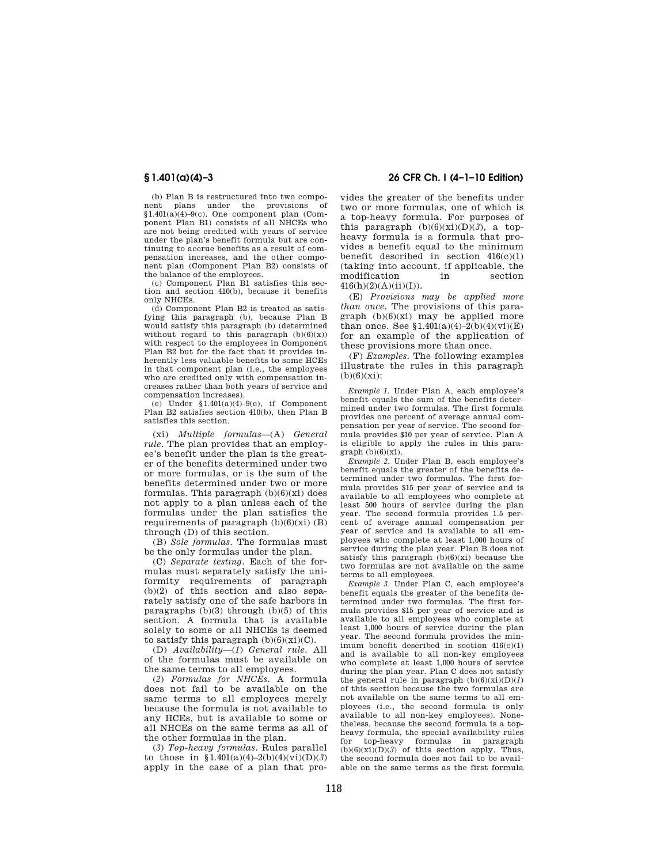(b) Plan B is restructured into two component plans under the provisions of  $$1.401(a)(4)-9(c)$ . One component plan (Component Plan B1) consists of all NHCEs who are not being credited with years of service under the plan's benefit formula but are continuing to accrue benefits as a result of compensation increases, and the other component plan (Component Plan B2) consists of the balance of the employees.

(c) Component Plan B1 satisfies this section and section 410(b), because it benefits only NHCEs.

 $(d)$  Component Plan B2 is treated as satisfying this paragraph (b), because Plan B would satisfy this paragraph (b) (determined without regard to this paragraph  $(b)(6)(x)$ with respect to the employees in Component Plan B2 but for the fact that it provides inherently less valuable benefits to some HCEs in that component plan (i.e., the employees who are credited only with compensation increases rather than both years of service and compensation increases).

(e) Under  $$1.401(a)(4)-9(c)$ , if Component Plan B2 satisfies section 410(b), then Plan B satisfies this section.

(xi) *Multiple formulas*—(A) *General rule.* The plan provides that an employee's benefit under the plan is the greater of the benefits determined under two or more formulas, or is the sum of the benefits determined under two or more formulas. This paragraph  $(b)(6)(xi)$  does not apply to a plan unless each of the formulas under the plan satisfies the requirements of paragraph  $(b)(6)(xi)$  (B) through (D) of this section.

(B) *Sole formulas.* The formulas must be the only formulas under the plan.

(C) *Separate testing.* Each of the formulas must separately satisfy the uniformity requirements of paragraph (b)(2) of this section and also separately satisfy one of the safe harbors in paragraphs  $(b)(3)$  through  $(b)(5)$  of this section. A formula that is available solely to some or all NHCEs is deemed to satisfy this paragraph  $(b)(6)(xi)(C)$ .

(D) *Availability*—(*1*) *General rule.* All of the formulas must be available on the same terms to all employees.

(*2*) *Formulas for NHCEs.* A formula does not fail to be available on the same terms to all employees merely because the formula is not available to any HCEs, but is available to some or all NHCEs on the same terms as all of the other formulas in the plan.

(*3*) *Top-heavy formulas.* Rules parallel to those in  $$1.401(a)(4)-2(b)(4)(vi)(D)(3)$ apply in the case of a plan that pro-

## **§ 1.401(a)(4)–3 26 CFR Ch. I (4–1–10 Edition)**

vides the greater of the benefits under two or more formulas, one of which is a top-heavy formula. For purposes of this paragraph  $(b)(6)(xi)(D)(3)$ , a topheavy formula is a formula that provides a benefit equal to the minimum benefit described in section  $416(c)(1)$ (taking into account, if applicable, the modification in 416(h)(2)(A)(ii)(I)).

(E) *Provisions may be applied more than once.* The provisions of this paragraph  $(b)(6)(xi)$  may be applied more than once. See  $$1.401(a)(4)-2(b)(4)(vi)(E)$ for an example of the application of these provisions more than once.

(F) *Examples.* The following examples illustrate the rules in this paragraph  $(b)(6)(xi)$ :

*Example 1.* Under Plan A, each employee's benefit equals the sum of the benefits determined under two formulas. The first formula provides one percent of average annual compensation per year of service. The second formula provides \$10 per year of service. Plan A is eligible to apply the rules in this para $graph (b)(6)(xi)$ .

*Example 2.* Under Plan B, each employee's benefit equals the greater of the benefits determined under two formulas. The first formula provides \$15 per year of service and is available to all employees who complete at least 500 hours of service during the plan year. The second formula provides 1.5 percent of average annual compensation per year of service and is available to all employees who complete at least 1,000 hours of service during the plan year. Plan B does not satisfy this paragraph (b)(6)(xi) because the two formulas are not available on the same terms to all employees.

*Example 3.* Under Plan C, each employee's benefit equals the greater of the benefits determined under two formulas. The first formula provides \$15 per year of service and is available to all employees who complete at least 1,000 hours of service during the plan year. The second formula provides the minimum benefit described in section 416(c)(1) and is available to all non-key employees who complete at least 1,000 hours of service during the plan year. Plan C does not satisfy the general rule in paragraph  $(b)(6)(xi)(D)(1)$ of this section because the two formulas are not available on the same terms to all employees (i.e., the second formula is only available to all non-key employees). Nonetheless, because the second formula is a topheavy formula, the special availability rules for top-heavy formulas in paragraph  $(b)(6)(xi)(D)(3)$  of this section apply. Thus, the second formula does not fail to be available on the same terms as the first formula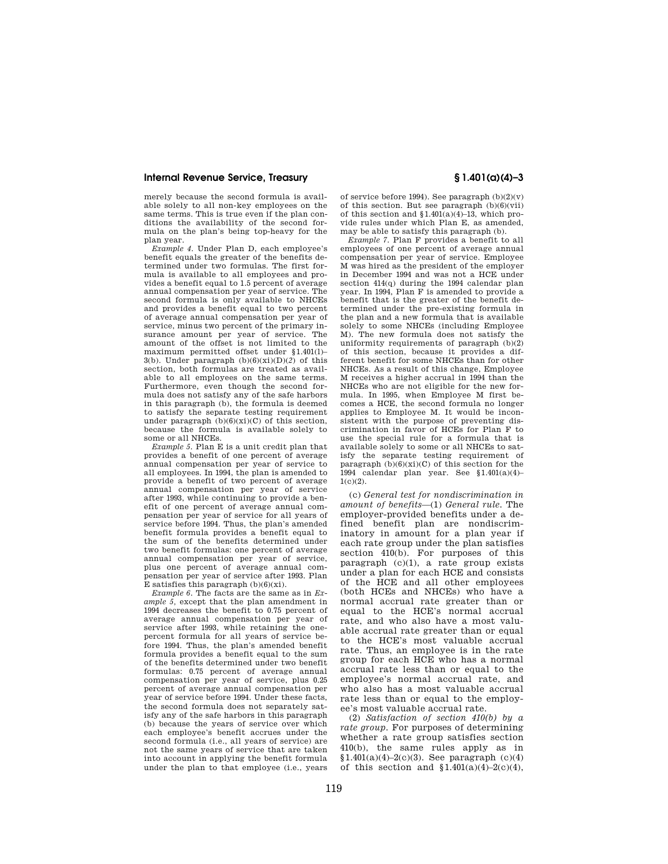merely because the second formula is available solely to all non-key employees on the same terms. This is true even if the plan conditions the availability of the second formula on the plan's being top-heavy for the plan year.

*Example 4.* Under Plan D, each employee's benefit equals the greater of the benefits determined under two formulas. The first formula is available to all employees and provides a benefit equal to 1.5 percent of average annual compensation per year of service. The second formula is only available to NHCEs and provides a benefit equal to two percent of average annual compensation per year of service, minus two percent of the primary insurance amount per year of service. The amount of the offset is not limited to the maximum permitted offset under §1.401(l)– 3(b). Under paragraph  $(b)(6)(xi)(D)(2)$  of this section, both formulas are treated as available to all employees on the same terms. Furthermore, even though the second formula does not satisfy any of the safe harbors in this paragraph (b), the formula is deemed to satisfy the separate testing requirement under paragraph  $(b)(6)(xi)(C)$  of this section, because the formula is available solely to some or all NHCEs.

*Example 5.* Plan E is a unit credit plan that provides a benefit of one percent of average annual compensation per year of service to all employees. In 1994, the plan is amended to provide a benefit of two percent of average annual compensation per year of service after 1993, while continuing to provide a benefit of one percent of average annual compensation per year of service for all years of service before 1994. Thus, the plan's amended benefit formula provides a benefit equal to the sum of the benefits determined under two benefit formulas: one percent of average annual compensation per year of service, plus one percent of average annual compensation per year of service after 1993. Plan E satisfies this paragraph  $(b)(6)(xi)$ .

*Example 6.* The facts are the same as in *Example 5,* except that the plan amendment in 1994 decreases the benefit to 0.75 percent of average annual compensation per year of service after 1993, while retaining the onepercent formula for all years of service before 1994. Thus, the plan's amended benefit formula provides a benefit equal to the sum of the benefits determined under two benefit formulas: 0.75 percent of average annual compensation per year of service, plus 0.25 percent of average annual compensation per year of service before 1994. Under these facts, the second formula does not separately satisfy any of the safe harbors in this paragraph (b) because the years of service over which each employee's benefit accrues under the second formula (i.e., all years of service) are not the same years of service that are taken into account in applying the benefit formula under the plan to that employee (i.e., years

of service before 1994). See paragraph  $(b)(2)(v)$ of this section. But see paragraph  $(b)(6)(vii)$ of this section and  $$1.401(a)(4)-13$ , which provide rules under which Plan E, as amended, may be able to satisfy this paragraph (b).

*Example 7.* Plan F provides a benefit to all employees of one percent of average annual compensation per year of service. Employee M was hired as the president of the employer in December 1994 and was not a HCE under section 414(q) during the 1994 calendar plan year. In 1994, Plan F is amended to provide a benefit that is the greater of the benefit determined under the pre-existing formula in the plan and a new formula that is available solely to some NHCEs (including Employee M). The new formula does not satisfy the uniformity requirements of paragraph (b)(2) of this section, because it provides a different benefit for some NHCEs than for other NHCEs. As a result of this change, Employee M receives a higher accrual in 1994 than the NHCEs who are not eligible for the new formula. In 1995, when Employee M first becomes a HCE, the second formula no longer applies to Employee M. It would be inconsistent with the purpose of preventing discrimination in favor of HCEs for Plan F to use the special rule for a formula that is available solely to some or all NHCEs to satisfy the separate testing requirement of paragraph  $(b)(6)(xi)(C)$  of this section for the 1994 calendar plan year. See §1.401(a)(4)–  $1(c)(2)$ .

(c) *General test for nondiscrimination in amount of benefits*—(1) *General rule.* The employer-provided benefits under a defined benefit plan are nondiscriminatory in amount for a plan year if each rate group under the plan satisfies section 410(b). For purposes of this paragraph (c)(1), a rate group exists under a plan for each HCE and consists of the HCE and all other employees (both HCEs and NHCEs) who have a normal accrual rate greater than or equal to the HCE's normal accrual rate, and who also have a most valuable accrual rate greater than or equal to the HCE's most valuable accrual rate. Thus, an employee is in the rate group for each HCE who has a normal accrual rate less than or equal to the employee's normal accrual rate, and who also has a most valuable accrual rate less than or equal to the employee's most valuable accrual rate.

(2) *Satisfaction of section 410(b) by a rate group.* For purposes of determining whether a rate group satisfies section 410(b), the same rules apply as in  $$1.401(a)(4)-2(c)(3)$ . See paragraph (c)(4) of this section and  $\overline{$1,401(a)(4)-2(c)(4)}$ ,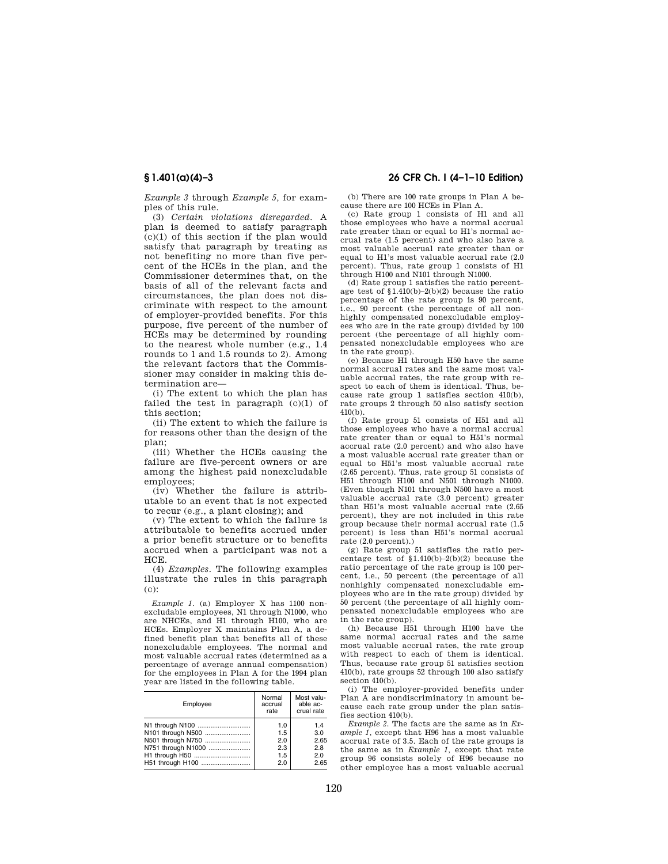*Example 3* through *Example 5,* for examples of this rule.

(3) *Certain violations disregarded.* A plan is deemed to satisfy paragraph  $(c)(1)$  of this section if the plan would satisfy that paragraph by treating as not benefiting no more than five percent of the HCEs in the plan, and the Commissioner determines that, on the basis of all of the relevant facts and circumstances, the plan does not discriminate with respect to the amount of employer-provided benefits. For this purpose, five percent of the number of HCEs may be determined by rounding to the nearest whole number (e.g., 1.4 rounds to 1 and 1.5 rounds to 2). Among the relevant factors that the Commissioner may consider in making this determination are—

(i) The extent to which the plan has failed the test in paragraph  $(c)(1)$  of this section;

(ii) The extent to which the failure is for reasons other than the design of the plan;

(iii) Whether the HCEs causing the failure are five-percent owners or are among the highest paid nonexcludable employees;

(iv) Whether the failure is attributable to an event that is not expected to recur (e.g., a plant closing); and

(v) The extent to which the failure is attributable to benefits accrued under a prior benefit structure or to benefits accrued when a participant was not a HCE.

(4) *Examples.* The following examples illustrate the rules in this paragraph (c):

*Example 1.* (a) Employer X has 1100 nonexcludable employees, N1 through N1000, who are NHCEs, and H1 through H100, who are HCEs. Employer X maintains Plan A, a defined benefit plan that benefits all of these nonexcludable employees. The normal and most valuable accrual rates (determined as a percentage of average annual compensation) for the employees in Plan A for the 1994 plan year are listed in the following table.

| Employee           | Normal<br>accrual<br>rate | Most valu-<br>able ac-<br>crual rate |
|--------------------|---------------------------|--------------------------------------|
| N1 through N100    | 1.0                       | 1.4                                  |
| N101 through N500  | 1.5                       | 3.0                                  |
| N501 through N750  | 2.0                       | 2.65                                 |
| N751 through N1000 | 2.3                       | 2.8                                  |
| H1 through H50     | 1.5                       | 2.0                                  |
| H51 through H100   | 2.0                       | 2.65                                 |

## **§ 1.401(a)(4)–3 26 CFR Ch. I (4–1–10 Edition)**

(b) There are 100 rate groups in Plan A because there are 100 HCEs in Plan A.

(c) Rate group 1 consists of H1 and all those employees who have a normal accrual rate greater than or equal to H1's normal accrual rate (1.5 percent) and who also have a most valuable accrual rate greater than or equal to H1's most valuable accrual rate (2.0 percent). Thus, rate group 1 consists of H1 through H100 and N101 through N1000.

(d) Rate group 1 satisfies the ratio percentage test of  $$1.410(b)-2(b)(2)$  because the ratio percentage of the rate group is 90 percent, i.e., 90 percent (the percentage of all nonhighly compensated nonexcludable employees who are in the rate group) divided by 100 percent (the percentage of all highly compensated nonexcludable employees who are in the rate group).

(e) Because H1 through H50 have the same normal accrual rates and the same most valuable accrual rates, the rate group with respect to each of them is identical. Thus, because rate group 1 satisfies section 410(b), rate groups 2 through 50 also satisfy section 410(b).

(f) Rate group 51 consists of H51 and all those employees who have a normal accrual rate greater than or equal to H51's normal accrual rate (2.0 percent) and who also have a most valuable accrual rate greater than or equal to H51's most valuable accrual rate (2.65 percent). Thus, rate group 51 consists of H51 through H100 and N501 through N1000. (Even though N101 through N500 have a most valuable accrual rate (3.0 percent) greater than H51's most valuable accrual rate (2.65 percent), they are not included in this rate group because their normal accrual rate (1.5 percent) is less than H51's normal accrual rate (2.0 percent).)

(g) Rate group 51 satisfies the ratio percentage test of §1.410(b)–2(b)(2) because the ratio percentage of the rate group is 100 percent, i.e., 50 percent (the percentage of all nonhighly compensated nonexcludable employees who are in the rate group) divided by 50 percent (the percentage of all highly compensated nonexcludable employees who are in the rate group).

(h) Because H51 through H100 have the same normal accrual rates and the same most valuable accrual rates, the rate group with respect to each of them is identical. Thus, because rate group 51 satisfies section 410(b), rate groups 52 through 100 also satisfy section 410(b).

(i) The employer-provided benefits under Plan A are nondiscriminatory in amount because each rate group under the plan satisfies section 410(b).

*Example 2.* The facts are the same as in *Example 1,* except that H96 has a most valuable accrual rate of 3.5. Each of the rate groups is the same as in *Example 1,* except that rate group 96 consists solely of H96 because no other employee has a most valuable accrual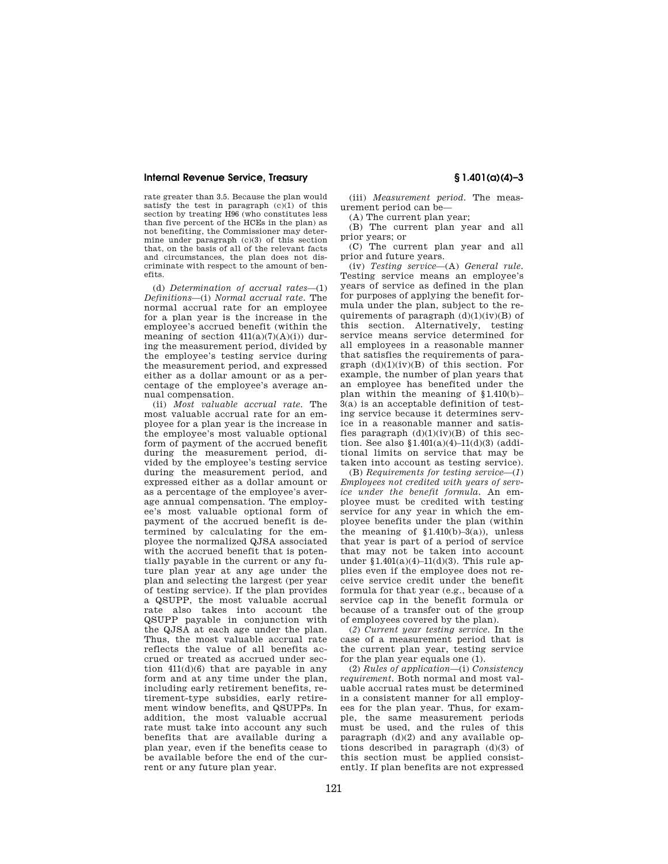rate greater than 3.5. Because the plan would satisfy the test in paragraph  $(c)(1)$  of this section by treating H96 (who constitutes less than five percent of the HCEs in the plan) as not benefiting, the Commissioner may determine under paragraph (c)(3) of this section that, on the basis of all of the relevant facts and circumstances, the plan does not discriminate with respect to the amount of benefits.

(d) *Determination of accrual rates*—(1) *Definitions*—(i) *Normal accrual rate.* The normal accrual rate for an employee for a plan year is the increase in the employee's accrued benefit (within the meaning of section  $411(a)(7)(A)(i)$  during the measurement period, divided by the employee's testing service during the measurement period, and expressed either as a dollar amount or as a percentage of the employee's average annual compensation.

(ii) *Most valuable accrual rate.* The most valuable accrual rate for an employee for a plan year is the increase in the employee's most valuable optional form of payment of the accrued benefit during the measurement period, divided by the employee's testing service during the measurement period, and expressed either as a dollar amount or as a percentage of the employee's average annual compensation. The employee's most valuable optional form of payment of the accrued benefit is determined by calculating for the employee the normalized QJSA associated with the accrued benefit that is potentially payable in the current or any future plan year at any age under the plan and selecting the largest (per year of testing service). If the plan provides a QSUPP, the most valuable accrual rate also takes into account the QSUPP payable in conjunction with the QJSA at each age under the plan. Thus, the most valuable accrual rate reflects the value of all benefits accrued or treated as accrued under section 411(d)(6) that are payable in any form and at any time under the plan, including early retirement benefits, retirement-type subsidies, early retirement window benefits, and QSUPPs. In addition, the most valuable accrual rate must take into account any such benefits that are available during a plan year, even if the benefits cease to be available before the end of the current or any future plan year.

(iii) *Measurement period.* The measurement period can be—

(A) The current plan year;

(B) The current plan year and all prior years; or

(C) The current plan year and all prior and future years.

(iv) *Testing service*—(A) *General rule.*  Testing service means an employee's years of service as defined in the plan for purposes of applying the benefit formula under the plan, subject to the requirements of paragraph  $(d)(1)(iv)(B)$  of this section. Alternatively, testing service means service determined for all employees in a reasonable manner that satisfies the requirements of paragraph  $(d)(1)(iv)(B)$  of this section. For example, the number of plan years that an employee has benefited under the plan within the meaning of §1.410(b)– 3(a) is an acceptable definition of testing service because it determines service in a reasonable manner and satisfies paragraph  $(d)(1)(iv)(B)$  of this section. See also  $$1.401(a)(4)-11(d)(3)$  (additional limits on service that may be taken into account as testing service).

(B) *Requirements for testing service*—(*1*) *Employees not credited with years of service under the benefit formula.* An employee must be credited with testing service for any year in which the employee benefits under the plan (within the meaning of  $$1.410(b)-3(a)$ , unless that year is part of a period of service that may not be taken into account under  $$1.401(a)(4)-11(d)(3)$ . This rule applies even if the employee does not receive service credit under the benefit formula for that year (e.g., because of a service cap in the benefit formula or because of a transfer out of the group of employees covered by the plan).

(*2*) *Current year testing service.* In the case of a measurement period that is the current plan year, testing service for the plan year equals one (1).

(2) *Rules of application*—(i) *Consistency requirement.* Both normal and most valuable accrual rates must be determined in a consistent manner for all employees for the plan year. Thus, for example, the same measurement periods must be used, and the rules of this paragraph  $(d)(2)$  and any available options described in paragraph (d)(3) of this section must be applied consistently. If plan benefits are not expressed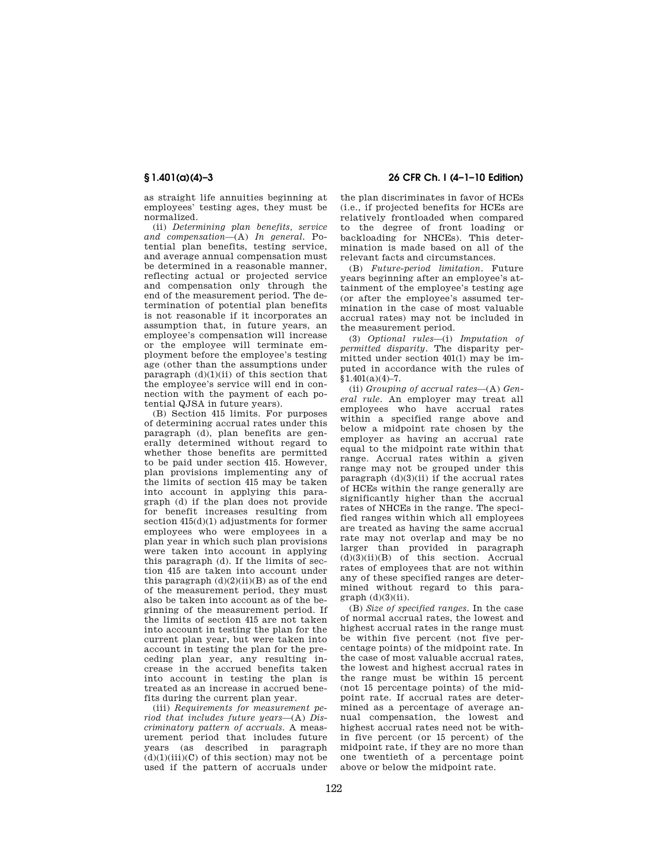as straight life annuities beginning at employees' testing ages, they must be normalized.

(ii) *Determining plan benefits, service and compensation*—(A) *In general.* Potential plan benefits, testing service, and average annual compensation must be determined in a reasonable manner, reflecting actual or projected service and compensation only through the end of the measurement period. The determination of potential plan benefits is not reasonable if it incorporates an assumption that, in future years, an employee's compensation will increase or the employee will terminate employment before the employee's testing age (other than the assumptions under paragraph  $(d)(1)(ii)$  of this section that the employee's service will end in connection with the payment of each potential QJSA in future years).

(B) Section 415 limits. For purposes of determining accrual rates under this paragraph (d), plan benefits are generally determined without regard to whether those benefits are permitted to be paid under section 415. However, plan provisions implementing any of the limits of section 415 may be taken into account in applying this paragraph (d) if the plan does not provide for benefit increases resulting from section 415(d)(1) adjustments for former employees who were employees in a plan year in which such plan provisions were taken into account in applying this paragraph (d). If the limits of section 415 are taken into account under this paragraph  $(d)(2)(ii)(B)$  as of the end of the measurement period, they must also be taken into account as of the beginning of the measurement period. If the limits of section 415 are not taken into account in testing the plan for the current plan year, but were taken into account in testing the plan for the preceding plan year, any resulting increase in the accrued benefits taken into account in testing the plan is treated as an increase in accrued benefits during the current plan year.

(iii) *Requirements for measurement period that includes future years*—(A) *Discriminatory pattern of accruals.* A measurement period that includes future years (as described in paragraph  $(d)(1)(iii)(C)$  of this section) may not be used if the pattern of accruals under

# **§ 1.401(a)(4)–3 26 CFR Ch. I (4–1–10 Edition)**

the plan discriminates in favor of HCEs (i.e., if projected benefits for HCEs are relatively frontloaded when compared to the degree of front loading or backloading for NHCEs). This determination is made based on all of the relevant facts and circumstances.

(B) *Future-period limitation.* Future years beginning after an employee's attainment of the employee's testing age (or after the employee's assumed termination in the case of most valuable accrual rates) may not be included in the measurement period.

(3) *Optional rules*—(i) *Imputation of permitted disparity.* The disparity permitted under section 401(l) may be imputed in accordance with the rules of  $$1,401(a)(4)-7.$ 

(ii) *Grouping of accrual rates*—(A) *General rule.* An employer may treat all employees who have accrual rates within a specified range above and below a midpoint rate chosen by the employer as having an accrual rate equal to the midpoint rate within that range. Accrual rates within a given range may not be grouped under this paragraph  $(d)(3)(ii)$  if the accrual rates of HCEs within the range generally are significantly higher than the accrual rates of NHCEs in the range. The specified ranges within which all employees are treated as having the same accrual rate may not overlap and may be no larger than provided in paragraph  $(d)(3)(ii)(B)$  of this section. Accrual rates of employees that are not within any of these specified ranges are determined without regard to this para $graph$   $(d)(3)(ii)$ .

(B) *Size of specified ranges.* In the case of normal accrual rates, the lowest and highest accrual rates in the range must be within five percent (not five percentage points) of the midpoint rate. In the case of most valuable accrual rates, the lowest and highest accrual rates in the range must be within 15 percent (not 15 percentage points) of the midpoint rate. If accrual rates are determined as a percentage of average annual compensation, the lowest and highest accrual rates need not be within five percent (or 15 percent) of the midpoint rate, if they are no more than one twentieth of a percentage point above or below the midpoint rate.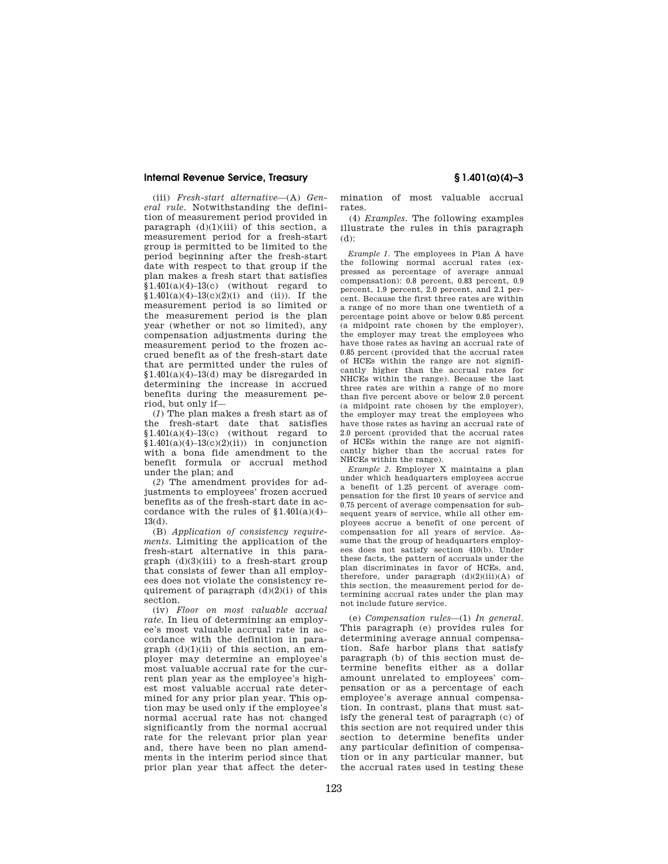(iii) *Fresh-start alternative*—(A) *General rule.* Notwithstanding the definition of measurement period provided in paragraph  $(d)(1)(iii)$  of this section, a measurement period for a fresh-start group is permitted to be limited to the period beginning after the fresh-start date with respect to that group if the plan makes a fresh start that satisfies  $$1.401(a)(4)-13(c)$  (without regard to  $$1.401(a)(4)-13(c)(2)(i)$  and (ii)). If the measurement period is so limited or the measurement period is the plan year (whether or not so limited), any compensation adjustments during the measurement period to the frozen accrued benefit as of the fresh-start date that are permitted under the rules of  $$1.401(a)(4)-13(d)$  may be disregarded in determining the increase in accrued benefits during the measurement period, but only if—

(*1*) The plan makes a fresh start as of the fresh-start date that satisfies  $$1.401(a)(4)-13(c)$  (without regard to  $$1.401(a)(4)-13(c)(2)(ii)$  in conjunction with a bona fide amendment to the benefit formula or accrual method under the plan; and

(*2*) The amendment provides for adjustments to employees' frozen accrued benefits as of the fresh-start date in accordance with the rules of  $$1.401(a)(4)$ -13(d).

(B) *Application of consistency requirements.* Limiting the application of the fresh-start alternative in this paragraph (d)(3)(iii) to a fresh-start group that consists of fewer than all employees does not violate the consistency requirement of paragraph  $(d)(2)(i)$  of this section.

(iv) *Floor on most valuable accrual rate.* In lieu of determining an employee's most valuable accrual rate in accordance with the definition in paragraph  $(d)(1)(ii)$  of this section, an employer may determine an employee's most valuable accrual rate for the current plan year as the employee's highest most valuable accrual rate determined for any prior plan year. This option may be used only if the employee's normal accrual rate has not changed significantly from the normal accrual rate for the relevant prior plan year and, there have been no plan amendments in the interim period since that prior plan year that affect the deter-

mination of most valuable accrual rates.

(4) *Examples.* The following examples illustrate the rules in this paragraph (d):

*Example 1.* The employees in Plan A have the following normal accrual rates (expressed as percentage of average annual compensation): 0.8 percent, 0.83 percent, 0.9 percent, 1.9 percent, 2.0 percent, and 2.1 percent. Because the first three rates are within a range of no more than one twentieth of a percentage point above or below 0.85 percent (a midpoint rate chosen by the employer), the employer may treat the employees who have those rates as having an accrual rate of 0.85 percent (provided that the accrual rates of HCEs within the range are not significantly higher than the accrual rates for NHCEs within the range). Because the last three rates are within a range of no more than five percent above or below 2.0 percent (a midpoint rate chosen by the employer), the employer may treat the employees who have those rates as having an accrual rate of 2.0 percent (provided that the accrual rates of HCEs within the range are not significantly higher than the accrual rates for NHCEs within the range).

*Example 2.* Employer X maintains a plan under which headquarters employees accrue a benefit of 1.25 percent of average compensation for the first 10 years of service and 0.75 percent of average compensation for subsequent years of service, while all other employees accrue a benefit of one percent of compensation for all years of service. Assume that the group of headquarters employees does not satisfy section 410(b). Under these facts, the pattern of accruals under the plan discriminates in favor of HCEs, and, therefore, under paragraph  $(d)(2)(iii)(A)$  of this section, the measurement period for determining accrual rates under the plan may not include future service.

(e) *Compensation rules*—(1) *In general.*  This paragraph (e) provides rules for determining average annual compensation. Safe harbor plans that satisfy paragraph (b) of this section must determine benefits either as a dollar amount unrelated to employees' compensation or as a percentage of each employee's average annual compensation. In contrast, plans that must satisfy the general test of paragraph (c) of this section are not required under this section to determine benefits under any particular definition of compensation or in any particular manner, but the accrual rates used in testing these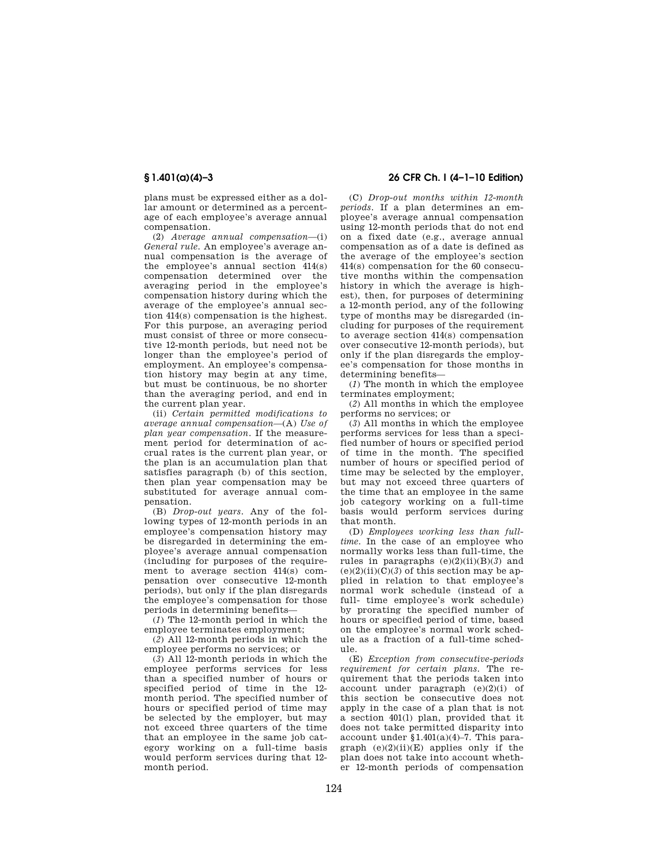plans must be expressed either as a dollar amount or determined as a percentage of each employee's average annual compensation.

(2) *Average annual compensation*—(i) *General rule.* An employee's average annual compensation is the average of the employee's annual section 414(s) compensation determined over the averaging period in the employee's compensation history during which the average of the employee's annual section 414(s) compensation is the highest. For this purpose, an averaging period must consist of three or more consecutive 12-month periods, but need not be longer than the employee's period of employment. An employee's compensation history may begin at any time, but must be continuous, be no shorter than the averaging period, and end in the current plan year.

(ii) *Certain permitted modifications to average annual compensation*—(A) *Use of plan year compensation.* If the measurement period for determination of accrual rates is the current plan year, or the plan is an accumulation plan that satisfies paragraph (b) of this section, then plan year compensation may be substituted for average annual compensation.

(B) *Drop-out years.* Any of the following types of 12-month periods in an employee's compensation history may be disregarded in determining the employee's average annual compensation (including for purposes of the requirement to average section 414(s) compensation over consecutive 12-month periods), but only if the plan disregards the employee's compensation for those periods in determining benefits—

(*1*) The 12-month period in which the employee terminates employment;

(*2*) All 12-month periods in which the employee performs no services; or

(*3*) All 12-month periods in which the employee performs services for less than a specified number of hours or specified period of time in the 12 month period. The specified number of hours or specified period of time may be selected by the employer, but may not exceed three quarters of the time that an employee in the same job category working on a full-time basis would perform services during that 12 month period.

# **§ 1.401(a)(4)–3 26 CFR Ch. I (4–1–10 Edition)**

(C) *Drop-out months within 12-month periods.* If a plan determines an employee's average annual compensation using 12-month periods that do not end on a fixed date (e.g., average annual compensation as of a date is defined as the average of the employee's section 414(s) compensation for the 60 consecutive months within the compensation history in which the average is highest), then, for purposes of determining a 12-month period, any of the following type of months may be disregarded (including for purposes of the requirement to average section 414(s) compensation over consecutive 12-month periods), but only if the plan disregards the employee's compensation for those months in determining benefits—

(*1*) The month in which the employee terminates employment;

(*2*) All months in which the employee performs no services; or

(*3*) All months in which the employee performs services for less than a specified number of hours or specified period of time in the month. The specified number of hours or specified period of time may be selected by the employer, but may not exceed three quarters of the time that an employee in the same job category working on a full-time basis would perform services during that month.

(D) *Employees working less than fulltime.* In the case of an employee who normally works less than full-time, the rules in paragraphs  $(e)(2)(ii)(B)(3)$  and  $(e)(2)(ii)(C)(3)$  of this section may be applied in relation to that employee's normal work schedule (instead of a full- time employee's work schedule) by prorating the specified number of hours or specified period of time, based on the employee's normal work schedule as a fraction of a full-time schedule.

(E) *Exception from consecutive-periods requirement for certain plans.* The requirement that the periods taken into account under paragraph  $(e)(2)(i)$  of this section be consecutive does not apply in the case of a plan that is not a section 401(l) plan, provided that it does not take permitted disparity into account under  $$1.401(a)(4)-7$ . This paragraph  $(e)(2)(ii)(E)$  applies only if the plan does not take into account whether 12-month periods of compensation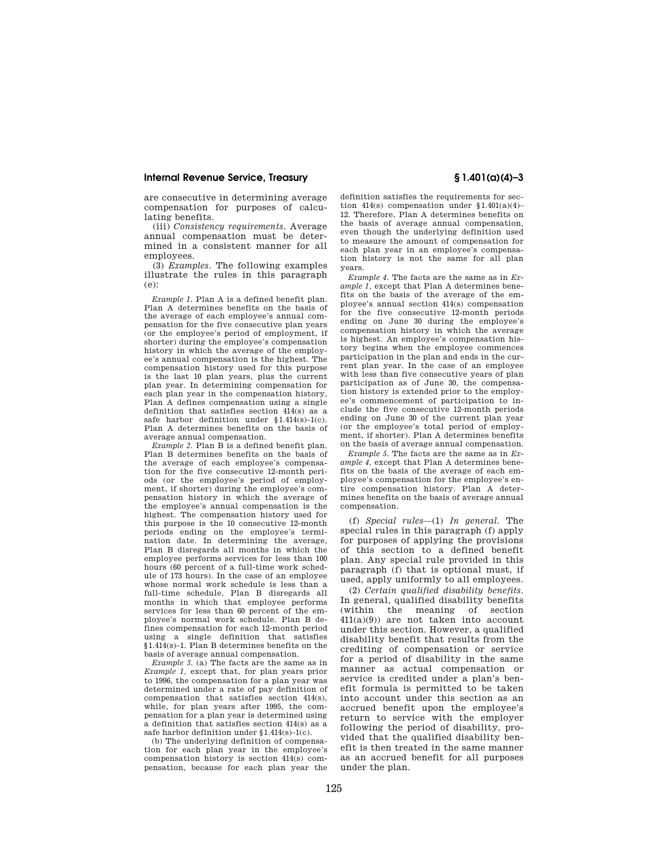are consecutive in determining average compensation for purposes of calculating benefits.

(iii) *Consistency requirements.* Average annual compensation must be determined in a consistent manner for all employees.

(3) *Examples.* The following examples illustrate the rules in this paragraph (e):

*Example 1.* Plan A is a defined benefit plan. Plan A determines benefits on the basis of the average of each employee's annual compensation for the five consecutive plan years (or the employee's period of employment, if shorter) during the employee's compensation history in which the average of the employee's annual compensation is the highest. The compensation history used for this purpose is the last 10 plan years, plus the current plan year. In determining compensation for each plan year in the compensation history, Plan A defines compensation using a single definition that satisfies section 414(s) as a safe harbor definition under §1.414(s)–1(c). Plan A determines benefits on the basis of average annual compensation.

*Example 2.* Plan B is a defined benefit plan. Plan B determines benefits on the basis of the average of each employee's compensation for the five consecutive 12-month periods (or the employee's period of employment, if shorter) during the employee's compensation history in which the average of the employee's annual compensation is the highest. The compensation history used for this purpose is the 10 consecutive 12-month periods ending on the employee's termination date. In determining the average, Plan B disregards all months in which the employee performs services for less than 100 hours (60 percent of a full-time work schedule of 173 hours). In the case of an employee whose normal work schedule is less than a full-time schedule, Plan B disregards all months in which that employee performs services for less than 60 percent of the employee's normal work schedule. Plan B defines compensation for each 12-month period using a single definition that satisfies §1.414(s)–1. Plan B determines benefits on the basis of average annual compensation.

*Example 3.* (a) The facts are the same as in *Example 1,* except that, for plan years prior to 1996, the compensation for a plan year was determined under a rate of pay definition of compensation that satisfies section 414(s), while, for plan years after 1995, the compensation for a plan year is determined using a definition that satisfies section 414(s) as a safe harbor definition under §1.414(s)–1(c).

(b) The underlying definition of compensation for each plan year in the employee's compensation history is section 414(s) compensation, because for each plan year the definition satisfies the requirements for section  $414(s)$  compensation under  $$1.401(a)(4)$ 12. Therefore, Plan A determines benefits on the basis of average annual compensation, even though the underlying definition used to measure the amount of compensation for each plan year in an employee's compensation history is not the same for all plan years.

*Example 4.* The facts are the same as in *Example 1* except that Plan A determines benefits on the basis of the average of the employee's annual section 414(s) compensation for the five consecutive 12-month periods ending on June 30 during the employee's compensation history in which the average is highest. An employee's compensation history begins when the employee commences participation in the plan and ends in the current plan year. In the case of an employee with less than five consecutive years of plan participation as of June 30, the compensation history is extended prior to the employee's commencement of participation to include the five consecutive 12-month periods ending on June 30 of the current plan year (or the employee's total period of employment, if shorter). Plan A determines benefits on the basis of average annual compensation.

*Example 5.* The facts are the same as in *Example 4,* except that Plan A determines benefits on the basis of the average of each employee's compensation for the employee's entire compensation history. Plan A determines benefits on the basis of average annual compensation.

(f) *Special rules*—(1) *In general.* The special rules in this paragraph (f) apply for purposes of applying the provisions of this section to a defined benefit plan. Any special rule provided in this paragraph (f) that is optional must, if used, apply uniformly to all employees.

(2) *Certain qualified disability benefits.*  In general, qualified disability benefits<br>(within the meaning of section  $(within the meaning$  $411(a)(9)$  are not taken into account under this section. However, a qualified disability benefit that results from the crediting of compensation or service for a period of disability in the same manner as actual compensation or service is credited under a plan's benefit formula is permitted to be taken into account under this section as an accrued benefit upon the employee's return to service with the employer following the period of disability, provided that the qualified disability benefit is then treated in the same manner as an accrued benefit for all purposes under the plan.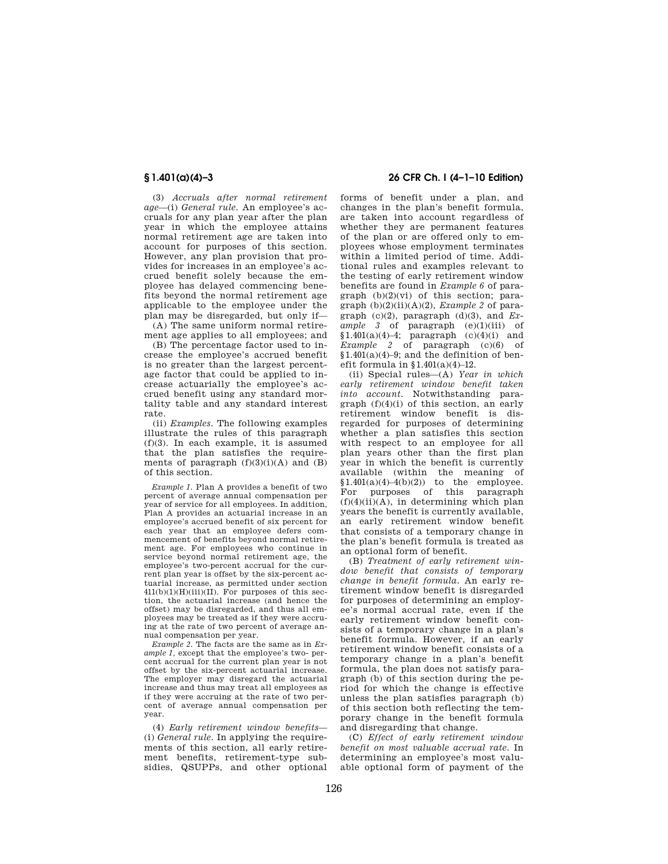(3) *Accruals after normal retirement age*—(i) *General rule.* An employee's accruals for any plan year after the plan year in which the employee attains normal retirement age are taken into account for purposes of this section. However, any plan provision that provides for increases in an employee's accrued benefit solely because the employee has delayed commencing benefits beyond the normal retirement age applicable to the employee under the plan may be disregarded, but only if—

(A) The same uniform normal retirement age applies to all employees; and

(B) The percentage factor used to increase the employee's accrued benefit is no greater than the largest percentage factor that could be applied to increase actuarially the employee's accrued benefit using any standard mortality table and any standard interest rate.

(ii) *Examples.* The following examples illustrate the rules of this paragraph (f)(3). In each example, it is assumed that the plan satisfies the requirements of paragraph  $(f)(3)(i)(A)$  and  $(B)$ of this section.

*Example 1.* Plan A provides a benefit of two percent of average annual compensation per year of service for all employees. In addition, Plan A provides an actuarial increase in an employee's accrued benefit of six percent for each year that an employee defers commencement of benefits beyond normal retirement age. For employees who continue in service beyond normal retirement age, the employee's two-percent accrual for the current plan year is offset by the six-percent actuarial increase, as permitted under section  $411(b)(1)(H)(iii)(II)$ . For purposes of this section, the actuarial increase (and hence the offset) may be disregarded, and thus all employees may be treated as if they were accruing at the rate of two percent of average annual compensation per year.

*Example 2.* The facts are the same as in *Example 1,* except that the employee's two- percent accrual for the current plan year is not offset by the six-percent actuarial increase. The employer may disregard the actuarial increase and thus may treat all employees as if they were accruing at the rate of two percent of average annual compensation per year.

(4) *Early retirement window benefits*— (i) *General rule.* In applying the requirements of this section, all early retirement benefits, retirement-type subsidies, QSUPPs, and other optional

## **§ 1.401(a)(4)–3 26 CFR Ch. I (4–1–10 Edition)**

forms of benefit under a plan, and changes in the plan's benefit formula, are taken into account regardless of whether they are permanent features of the plan or are offered only to employees whose employment terminates within a limited period of time. Additional rules and examples relevant to the testing of early retirement window benefits are found in *Example 6* of paragraph  $(b)(2)(vi)$  of this section; paragraph  $(b)(2)(ii)(A)(2)$ , *Example 2* of paragraph (c)(2), paragraph (d)(3), and *Example 3* of paragraph (e)(1)(iii) of  $$1.401(a)(4)-4;$  paragraph  $(c)(4)(i)$  and *Example 2* of paragraph (c)(6) of  $$1.401(a)(4)-9$ ; and the definition of benefit formula in  $$1.401(a)(4)-12$ .

(ii) Special rules—(A) *Year in which early retirement window benefit taken into account.* Notwithstanding paragraph (f)(4)(i) of this section, an early retirement window benefit is disregarded for purposes of determining whether a plan satisfies this section with respect to an employee for all plan years other than the first plan year in which the benefit is currently available (within the meaning of  $$1.401(a)(4)-4(b)(2))$  to the employee. For purposes of this paragraph  $(f)(4)(ii)(A)$ , in determining which plan years the benefit is currently available, an early retirement window benefit that consists of a temporary change in the plan's benefit formula is treated as an optional form of benefit.

(B) *Treatment of early retirement window benefit that consists of temporary change in benefit formula.* An early retirement window benefit is disregarded for purposes of determining an employee's normal accrual rate, even if the early retirement window benefit consists of a temporary change in a plan's benefit formula. However, if an early retirement window benefit consists of a temporary change in a plan's benefit formula, the plan does not satisfy paragraph (b) of this section during the period for which the change is effective unless the plan satisfies paragraph (b) of this section both reflecting the temporary change in the benefit formula and disregarding that change.

(C) *Effect of early retirement window benefit on most valuable accrual rate.* In determining an employee's most valuable optional form of payment of the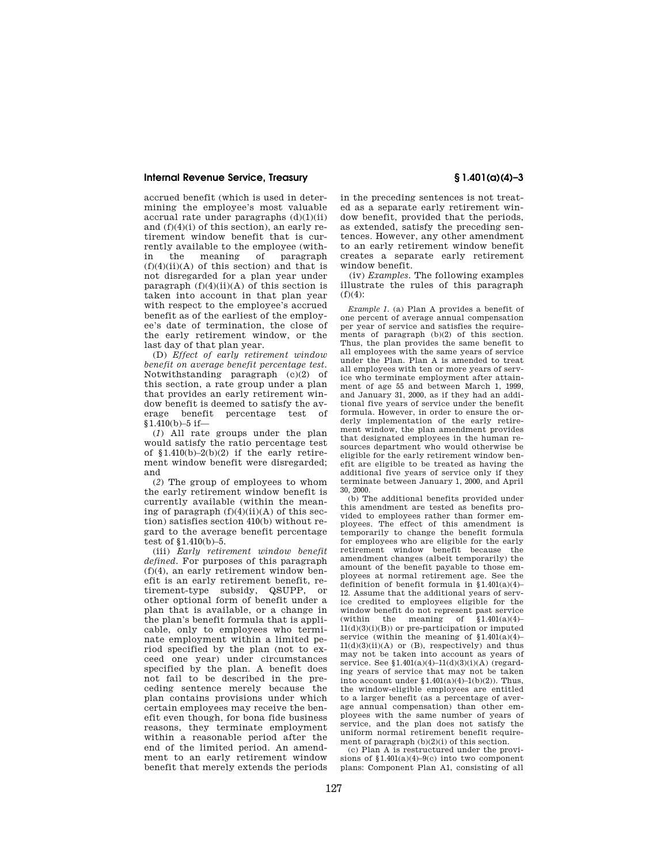accrued benefit (which is used in determining the employee's most valuable accrual rate under paragraphs  $(d)(1)(ii)$ and (f)(4)(i) of this section), an early retirement window benefit that is currently available to the employee (with-<br>in the meaning of paragraph paragraph  $(f)(4)(ii)(A)$  of this section) and that is not disregarded for a plan year under paragraph  $(f)(4)(ii)(A)$  of this section is taken into account in that plan year with respect to the employee's accrued benefit as of the earliest of the employee's date of termination, the close of the early retirement window, or the last day of that plan year.

(D) *Effect of early retirement window benefit on average benefit percentage test.*  Notwithstanding paragraph (c)(2) of this section, a rate group under a plan that provides an early retirement window benefit is deemed to satisfy the average benefit percentage test of §1.410(b)–5 if—

(*1*) All rate groups under the plan would satisfy the ratio percentage test of  $$1.410(b)-2(b)(2)$  if the early retirement window benefit were disregarded; and

(*2*) The group of employees to whom the early retirement window benefit is currently available (within the meaning of paragraph  $(f)(4)(ii)(A)$  of this section) satisfies section 410(b) without regard to the average benefit percentage test of §1.410(b)–5.

(iii) *Early retirement window benefit defined.* For purposes of this paragraph  $(f)(4)$ , an early retirement window benefit is an early retirement benefit, retirement-type subsidy, QSUPP, or other optional form of benefit under a plan that is available, or a change in the plan's benefit formula that is applicable, only to employees who terminate employment within a limited period specified by the plan (not to exceed one year) under circumstances specified by the plan. A benefit does not fail to be described in the preceding sentence merely because the plan contains provisions under which certain employees may receive the benefit even though, for bona fide business reasons, they terminate employment within a reasonable period after the end of the limited period. An amendment to an early retirement window benefit that merely extends the periods

in the preceding sentences is not treated as a separate early retirement window benefit, provided that the periods, as extended, satisfy the preceding sentences. However, any other amendment to an early retirement window benefit creates a separate early retirement window benefit.

(iv) *Examples.* The following examples illustrate the rules of this paragraph  $(f)(4)$ :

*Example 1.* (a) Plan A provides a benefit of one percent of average annual compensation per year of service and satisfies the requirements of paragraph (b)(2) of this section. Thus, the plan provides the same benefit to all employees with the same years of service under the Plan. Plan A is amended to treat all employees with ten or more years of service who terminate employment after attainment of age 55 and between March 1, 1999, and January 31, 2000, as if they had an additional five years of service under the benefit formula. However, in order to ensure the orderly implementation of the early retirement window, the plan amendment provides that designated employees in the human resources department who would otherwise be eligible for the early retirement window benefit are eligible to be treated as having the additional five years of service only if they terminate between January 1, 2000, and April 30, 2000.

(b) The additional benefits provided under this amendment are tested as benefits provided to employees rather than former employees. The effect of this amendment is temporarily to change the benefit formula for employees who are eligible for the early retirement window benefit because the amendment changes (albeit temporarily) the amount of the benefit payable to those employees at normal retirement age. See the definition of benefit formula in  $\S 1.401(a)(4)$ -12. Assume that the additional years of service credited to employees eligible for the window benefit do not represent past service<br>(within the meaning of  $$1.401(a)(4)$ the meaning of  $$1.401(a)(4)$ –  $11<sub>(d)(3)(i)(B)</sub>$  or pre-participation or imputed service (within the meaning of  $$1.401(a)(4)$ –  $11(d)(3)(ii)(A)$  or  $(B)$ , respectively) and thus may not be taken into account as years of service. See §1.401(a)(4)–11(d)(3)(i)(A) (regarding years of service that may not be taken into account under  $$1.401(a)(4)-1(b)(2)$ . Thus, the window-eligible employees are entitled to a larger benefit (as a percentage of average annual compensation) than other employees with the same number of years of service, and the plan does not satisfy the uniform normal retirement benefit requirement of paragraph  $(b)(2)(i)$  of this section.

(c) Plan A is restructured under the provisions of  $$1.401(a)(4)-9(c)$  into two component plans: Component Plan A1, consisting of all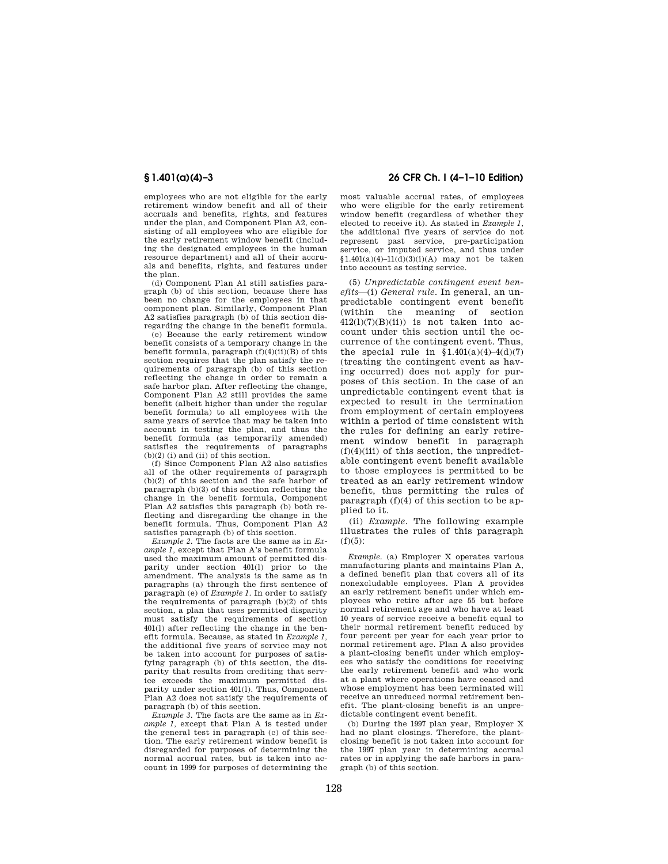employees who are not eligible for the early retirement window benefit and all of their accruals and benefits, rights, and features under the plan, and Component Plan A2, consisting of all employees who are eligible for the early retirement window benefit (including the designated employees in the human resource department) and all of their accruals and benefits, rights, and features under the plan.

(d) Component Plan A1 still satisfies paragraph (b) of this section, because there has been no change for the employees in that component plan. Similarly, Component Plan A2 satisfies paragraph (b) of this section disregarding the change in the benefit formula.

(e) Because the early retirement window benefit consists of a temporary change in the benefit formula, paragraph  $(f)(4)(ii)(B)$  of this section requires that the plan satisfy the requirements of paragraph (b) of this section reflecting the change in order to remain a safe harbor plan. After reflecting the change, Component Plan A2 still provides the same benefit (albeit higher than under the regular benefit formula) to all employees with the same years of service that may be taken into account in testing the plan, and thus the benefit formula (as temporarily amended) satisfies the requirements of paragraphs  $(b)(2)$  (i) and (ii) of this section.

(f) Since Component Plan A2 also satisfies all of the other requirements of paragraph (b)(2) of this section and the safe harbor of paragraph (b)(3) of this section reflecting the change in the benefit formula, Component Plan A2 satisfies this paragraph (b) both reflecting and disregarding the change in the benefit formula. Thus, Component Plan A2 satisfies paragraph (b) of this section.

*Example 2.* The facts are the same as in *Example 1,* except that Plan A's benefit formula used the maximum amount of permitted disparity under section 401(l) prior to the amendment. The analysis is the same as in paragraphs (a) through the first sentence of paragraph (e) of *Example 1.* In order to satisfy the requirements of paragraph (b)(2) of this section, a plan that uses permitted disparity must satisfy the requirements of section 401(l) after reflecting the change in the benefit formula. Because, as stated in *Example 1,*  the additional five years of service may not be taken into account for purposes of satisfying paragraph (b) of this section, the disparity that results from crediting that service exceeds the maximum permitted disparity under section 401(l). Thus, Component Plan A2 does not satisfy the requirements of paragraph (b) of this section.

*Example 3.* The facts are the same as in *Example 1,* except that Plan A is tested under the general test in paragraph (c) of this section. The early retirement window benefit is disregarded for purposes of determining the normal accrual rates, but is taken into account in 1999 for purposes of determining the

# **§ 1.401(a)(4)–3 26 CFR Ch. I (4–1–10 Edition)**

most valuable accrual rates, of employees who were eligible for the early retirement window benefit (regardless of whether they elected to receive it). As stated in *Example 1,*  the additional five years of service do not represent past service, pre-participation service, or imputed service, and thus under  $$1.401(a)(4)-11(d)(3)(i)(A)$  may not be taken into account as testing service.

(5) *Unpredictable contingent event benefits*—(i) *General rule.* In general, an unpredictable contingent event benefit (within the meaning of section  $412(1)(7)(B)(ii)$  is not taken into account under this section until the occurrence of the contingent event. Thus, the special rule in  $$1.401(a)(4)-4(d)(7)$ (treating the contingent event as having occurred) does not apply for purposes of this section. In the case of an unpredictable contingent event that is expected to result in the termination from employment of certain employees within a period of time consistent with the rules for defining an early retirement window benefit in paragraph  $(f)(4)(iii)$  of this section, the unpredictable contingent event benefit available to those employees is permitted to be treated as an early retirement window benefit, thus permitting the rules of paragraph (f)(4) of this section to be applied to it.

(ii) *Example.* The following example illustrates the rules of this paragraph  $(f)(5)$ :

*Example.* (a) Employer X operates various manufacturing plants and maintains Plan A, a defined benefit plan that covers all of its nonexcludable employees. Plan A provides an early retirement benefit under which employees who retire after age 55 but before normal retirement age and who have at least 10 years of service receive a benefit equal to their normal retirement benefit reduced by four percent per year for each year prior to normal retirement age. Plan A also provides a plant-closing benefit under which employees who satisfy the conditions for receiving the early retirement benefit and who work at a plant where operations have ceased and whose employment has been terminated will receive an unreduced normal retirement benefit. The plant-closing benefit is an unpredictable contingent event benefit.

(b) During the 1997 plan year, Employer X had no plant closings. Therefore, the plantclosing benefit is not taken into account for the 1997 plan year in determining accrual rates or in applying the safe harbors in paragraph (b) of this section.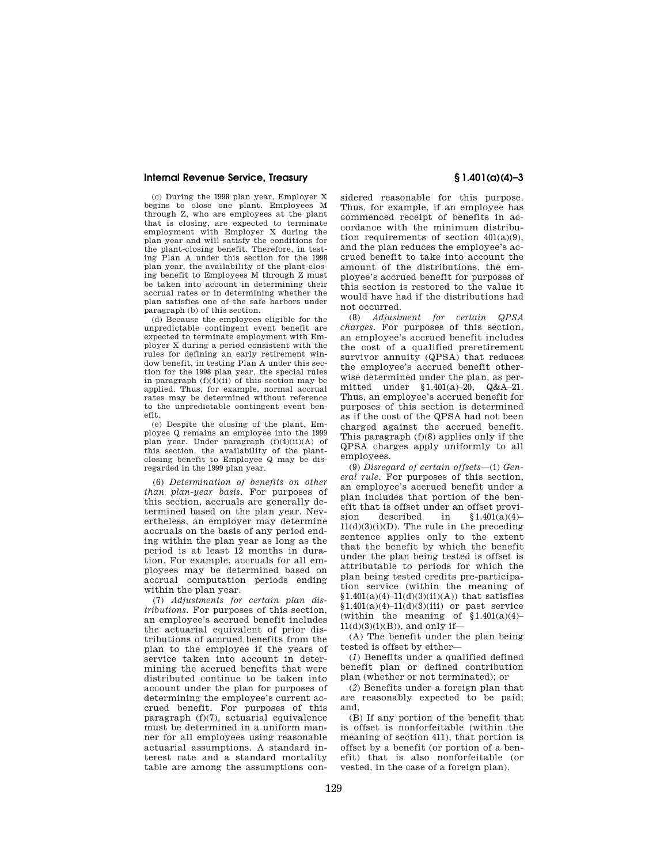(c) During the 1998 plan year, Employer X begins to close one plant. Employees M through Z, who are employees at the plant that is closing, are expected to terminate employment with Employer X during the plan year and will satisfy the conditions for the plant-closing benefit. Therefore, in testing Plan A under this section for the 1998 plan year, the availability of the plant-closing benefit to Employees M through Z must be taken into account in determining their accrual rates or in determining whether the plan satisfies one of the safe harbors under paragraph (b) of this section.

(d) Because the employees eligible for the unpredictable contingent event benefit are expected to terminate employment with Employer X during a period consistent with the rules for defining an early retirement window benefit, in testing Plan A under this section for the 1998 plan year, the special rules in paragraph  $(f)(4)(ii)$  of this section may be applied. Thus, for example, normal accrual rates may be determined without reference to the unpredictable contingent event benefit.

(e) Despite the closing of the plant, Employee Q remains an employee into the 1999 plan year. Under paragraph (f)(4)(ii)(A) of this section, the availability of the plantclosing benefit to Employee Q may be disregarded in the 1999 plan year.

(6) *Determination of benefits on other than plan-year basis.* For purposes of this section, accruals are generally determined based on the plan year. Nevertheless, an employer may determine accruals on the basis of any period ending within the plan year as long as the period is at least 12 months in duration. For example, accruals for all employees may be determined based on accrual computation periods ending within the plan year.

(7) *Adjustments for certain plan distributions.* For purposes of this section, an employee's accrued benefit includes the actuarial equivalent of prior distributions of accrued benefits from the plan to the employee if the years of service taken into account in determining the accrued benefits that were distributed continue to be taken into account under the plan for purposes of determining the employee's current accrued benefit. For purposes of this paragraph (f)(7), actuarial equivalence must be determined in a uniform manner for all employees using reasonable actuarial assumptions. A standard interest rate and a standard mortality table are among the assumptions con-

sidered reasonable for this purpose. Thus, for example, if an employee has commenced receipt of benefits in accordance with the minimum distribution requirements of section  $401(a)(9)$ , and the plan reduces the employee's accrued benefit to take into account the amount of the distributions, the employee's accrued benefit for purposes of this section is restored to the value it would have had if the distributions had not occurred.

(8) *Adjustment for certain QPSA charges.* For purposes of this section, an employee's accrued benefit includes the cost of a qualified preretirement survivor annuity (QPSA) that reduces the employee's accrued benefit otherwise determined under the plan, as permitted under §1.401(a)–20, Q&A–21. Thus, an employee's accrued benefit for purposes of this section is determined as if the cost of the QPSA had not been charged against the accrued benefit. This paragraph (f)(8) applies only if the QPSA charges apply uniformly to all employees.

(9) *Disregard of certain offsets*—(i) *General rule.* For purposes of this section, an employee's accrued benefit under a plan includes that portion of the benefit that is offset under an offset provision described in §1.401(a)(4)–  $11(d)(3)(i)(D)$ . The rule in the preceding sentence applies only to the extent that the benefit by which the benefit under the plan being tested is offset is attributable to periods for which the plan being tested credits pre-participation service (within the meaning of  $$1.401(a)(4)-11(d)(3)(ii)(A))$  that satisfies  $$1.401(a)(4)-11(d)(3)(iii)$  or past service (within the meaning of  $$1.401(a)(4)$ –  $11(d)(3)(i)(B)$ , and only if-

(A) The benefit under the plan being tested is offset by either—

(*1*) Benefits under a qualified defined benefit plan or defined contribution plan (whether or not terminated); or

(*2*) Benefits under a foreign plan that are reasonably expected to be paid; and,

(B) If any portion of the benefit that is offset is nonforfeitable (within the meaning of section 411), that portion is offset by a benefit (or portion of a benefit) that is also nonforfeitable (or vested, in the case of a foreign plan).